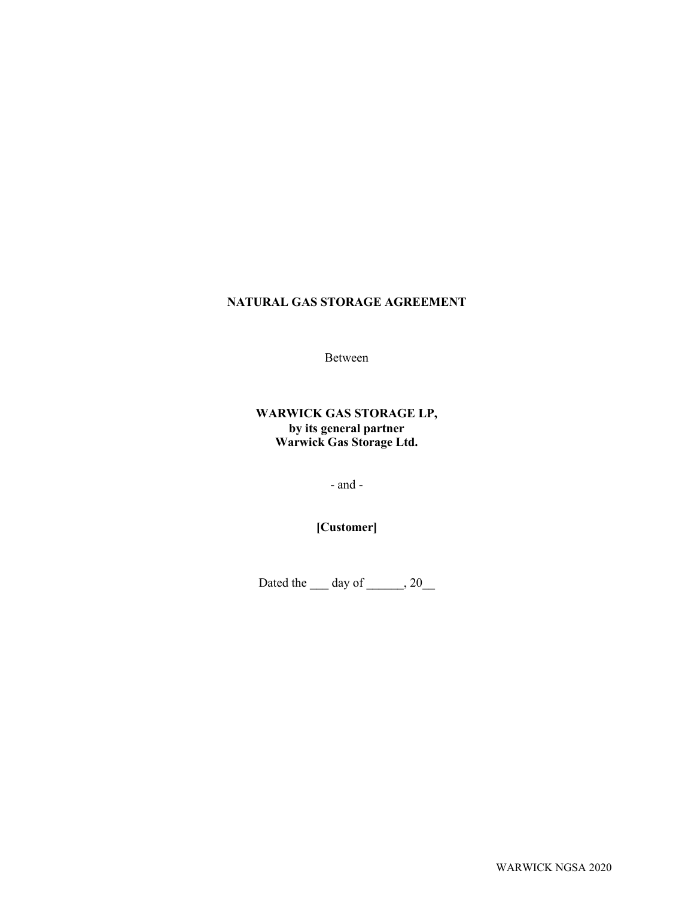# **NATURAL GAS STORAGE AGREEMENT**

Between

# **WARWICK GAS STORAGE LP, by its general partner Warwick Gas Storage Ltd.**

- and -

**[Customer]**

Dated the  $\rule{1em}{0.15mm}$  day of  $\rule{1.5mm}{0.15mm}$ , 20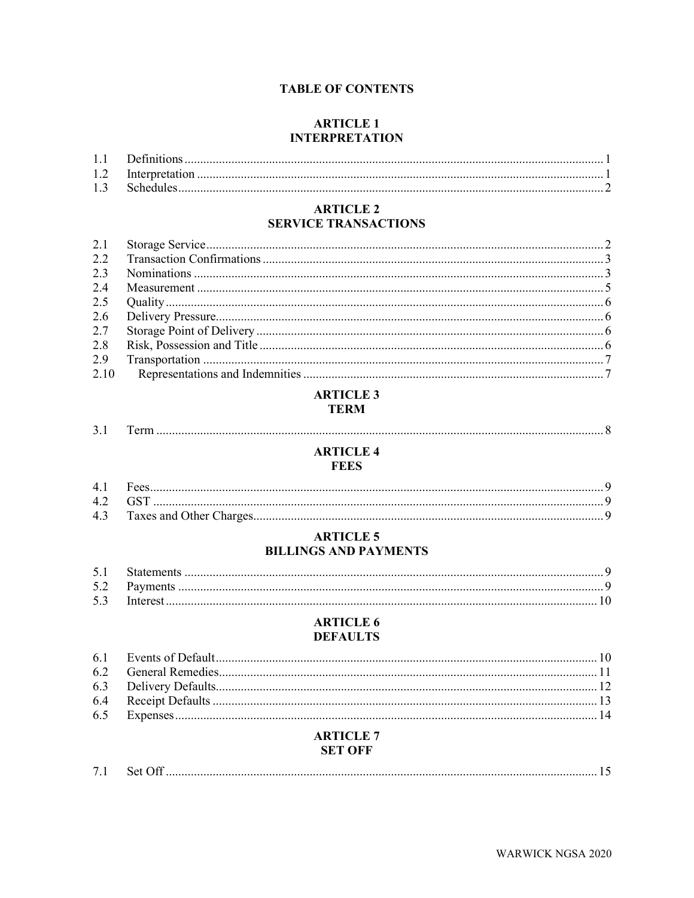# **TABLE OF CONTENTS**

# **ARTICLE 1 INTERPRETATION**

# **ARTICLE 2 SERVICE TRANSACTIONS**

| 2.7  |  |
|------|--|
| 2.8  |  |
|      |  |
| 2.10 |  |

# **ARTICLE 3 TERM**

# **ARTICLE 4 FEES**

# **ARTICLE 5 BILLINGS AND PAYMENTS**

# **ARTICLE 6 DEFAULTS**

# **ARTICLE 7 SET OFF**

| $-1$ |  |  |  |
|------|--|--|--|
|------|--|--|--|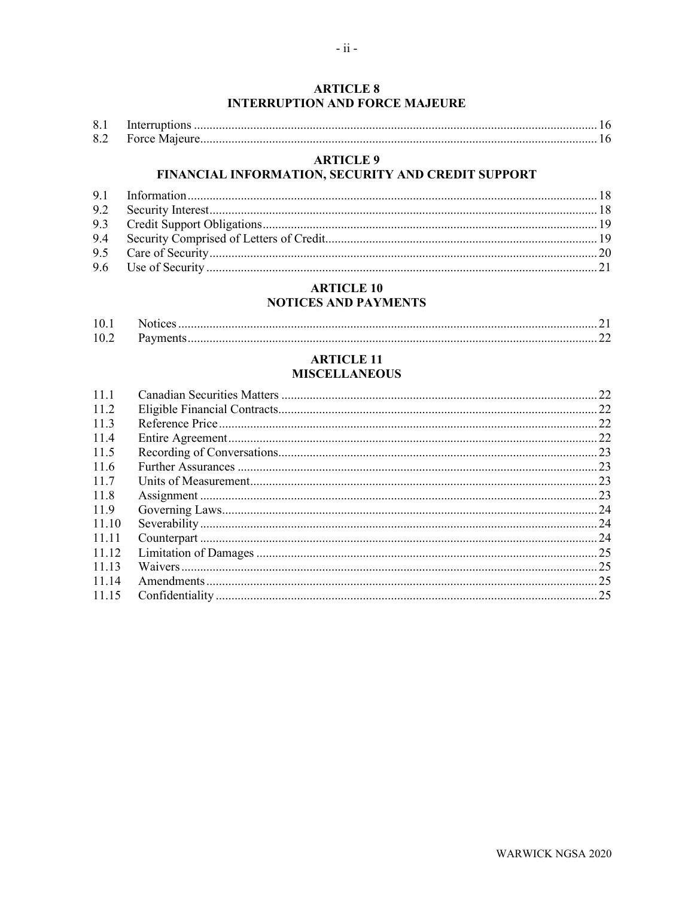| 8.1 |  |
|-----|--|
|     |  |

# **ARTICLE 9**

# FINANCIAL INFORMATION, SECURITY AND CREDIT SUPPORT

# **ARTICLE 10 NOTICES AND PAYMENTS**

# **ARTICLE 11 MISCELLANEOUS**

| 11.1  |  |
|-------|--|
| 11.2  |  |
| 11.3  |  |
| 11.4  |  |
| 11.5  |  |
| 11.6  |  |
| 11.7  |  |
| 11.8  |  |
| 11.9  |  |
| 11.10 |  |
| 11.11 |  |
| 11.12 |  |
| 11.13 |  |
| 11.14 |  |
| 11.15 |  |
|       |  |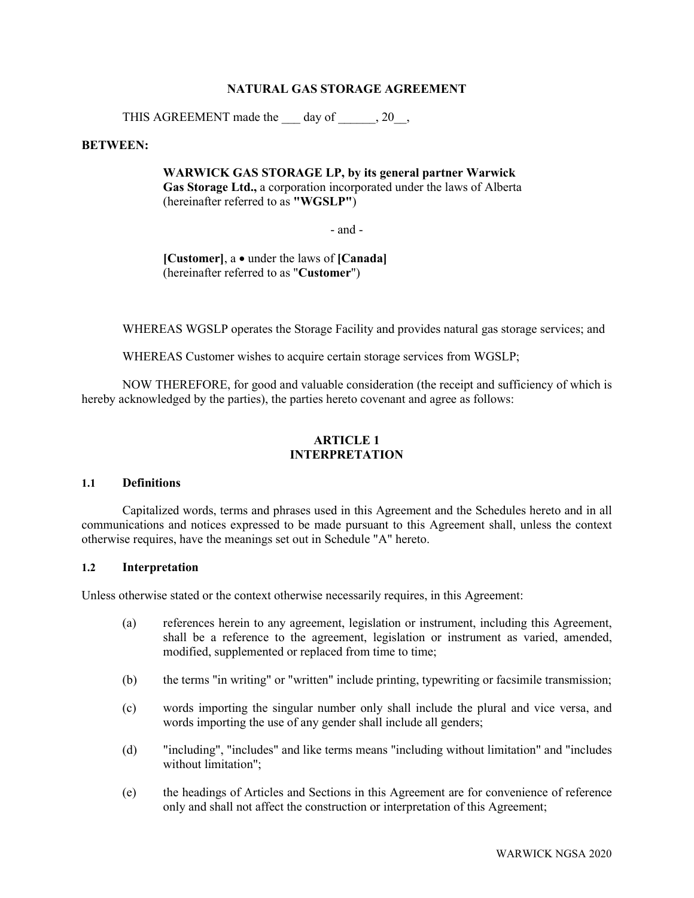## **NATURAL GAS STORAGE AGREEMENT**

THIS AGREEMENT made the  $\qquad$  day of  $\qquad$ , 20,

### **BETWEEN:**

**WARWICK GAS STORAGE LP, by its general partner Warwick Gas Storage Ltd.,** a corporation incorporated under the laws of Alberta (hereinafter referred to as **"WGSLP"**)

- and -

**[Customer]**, a • under the laws of **[Canada]** (hereinafter referred to as "**Customer**")

WHEREAS WGSLP operates the Storage Facility and provides natural gas storage services; and

WHEREAS Customer wishes to acquire certain storage services from WGSLP;

NOW THEREFORE, for good and valuable consideration (the receipt and sufficiency of which is hereby acknowledged by the parties), the parties hereto covenant and agree as follows:

# **ARTICLE 1 INTERPRETATION**

# **1.1 Definitions**

Capitalized words, terms and phrases used in this Agreement and the Schedules hereto and in all communications and notices expressed to be made pursuant to this Agreement shall, unless the context otherwise requires, have the meanings set out in Schedule ["A"](#page-29-0) hereto.

# **1.2 Interpretation**

Unless otherwise stated or the context otherwise necessarily requires, in this Agreement:

- (a) references herein to any agreement, legislation or instrument, including this Agreement, shall be a reference to the agreement, legislation or instrument as varied, amended, modified, supplemented or replaced from time to time;
- (b) the terms "in writing" or "written" include printing, typewriting or facsimile transmission;
- (c) words importing the singular number only shall include the plural and vice versa, and words importing the use of any gender shall include all genders;
- (d) "including", "includes" and like terms means "including without limitation" and "includes without limitation";
- (e) the headings of Articles and Sections in this Agreement are for convenience of reference only and shall not affect the construction or interpretation of this Agreement;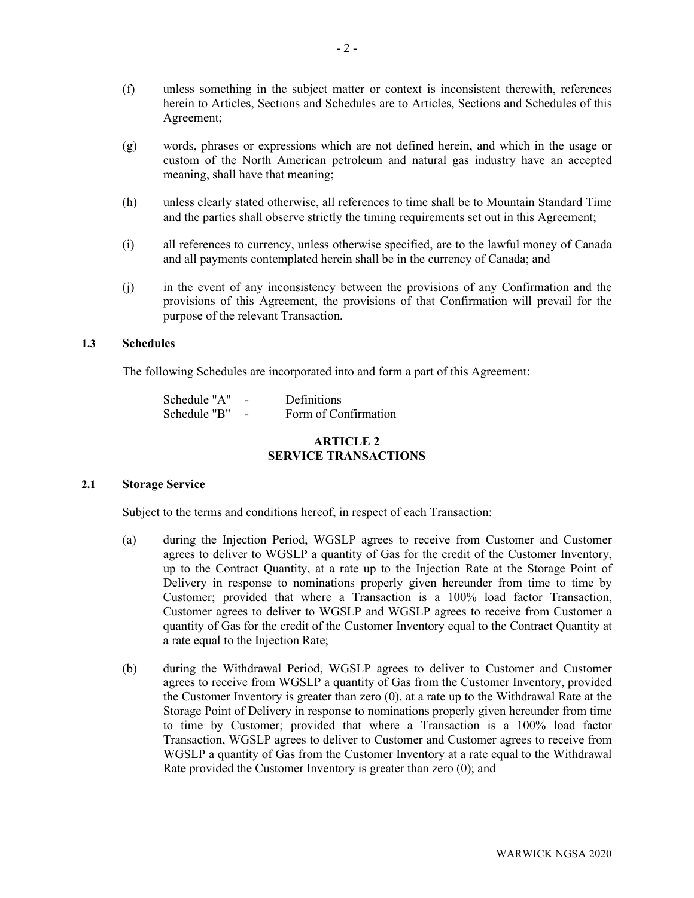- (f) unless something in the subject matter or context is inconsistent therewith, references herein to Articles, Sections and Schedules are to Articles, Sections and Schedules of this Agreement;
- (g) words, phrases or expressions which are not defined herein, and which in the usage or custom of the North American petroleum and natural gas industry have an accepted meaning, shall have that meaning;
- (h) unless clearly stated otherwise, all references to time shall be to Mountain Standard Time and the parties shall observe strictly the timing requirements set out in this Agreement;
- (i) all references to currency, unless otherwise specified, are to the lawful money of Canada and all payments contemplated herein shall be in the currency of Canada; and
- (j) in the event of any inconsistency between the provisions of any Confirmation and the provisions of this Agreement, the provisions of that Confirmation will prevail for the purpose of the relevant Transaction.

# **1.3 Schedules**

The following Schedules are incorporated into and form a part of this Agreement:

| Schedule "A" | Definitions          |
|--------------|----------------------|
| Schedule "B" | Form of Confirmation |

# **ARTICLE 2 SERVICE TRANSACTIONS**

### **2.1 Storage Service**

Subject to the terms and conditions hereof, in respect of each Transaction:

- (a) during the Injection Period, WGSLP agrees to receive from Customer and Customer agrees to deliver to WGSLP a quantity of Gas for the credit of the Customer Inventory, up to the Contract Quantity, at a rate up to the Injection Rate at the Storage Point of Delivery in response to nominations properly given hereunder from time to time by Customer; provided that where a Transaction is a 100% load factor Transaction, Customer agrees to deliver to WGSLP and WGSLP agrees to receive from Customer a quantity of Gas for the credit of the Customer Inventory equal to the Contract Quantity at a rate equal to the Injection Rate;
- (b) during the Withdrawal Period, WGSLP agrees to deliver to Customer and Customer agrees to receive from WGSLP a quantity of Gas from the Customer Inventory, provided the Customer Inventory is greater than zero (0), at a rate up to the Withdrawal Rate at the Storage Point of Delivery in response to nominations properly given hereunder from time to time by Customer; provided that where a Transaction is a 100% load factor Transaction, WGSLP agrees to deliver to Customer and Customer agrees to receive from WGSLP a quantity of Gas from the Customer Inventory at a rate equal to the Withdrawal Rate provided the Customer Inventory is greater than zero (0); and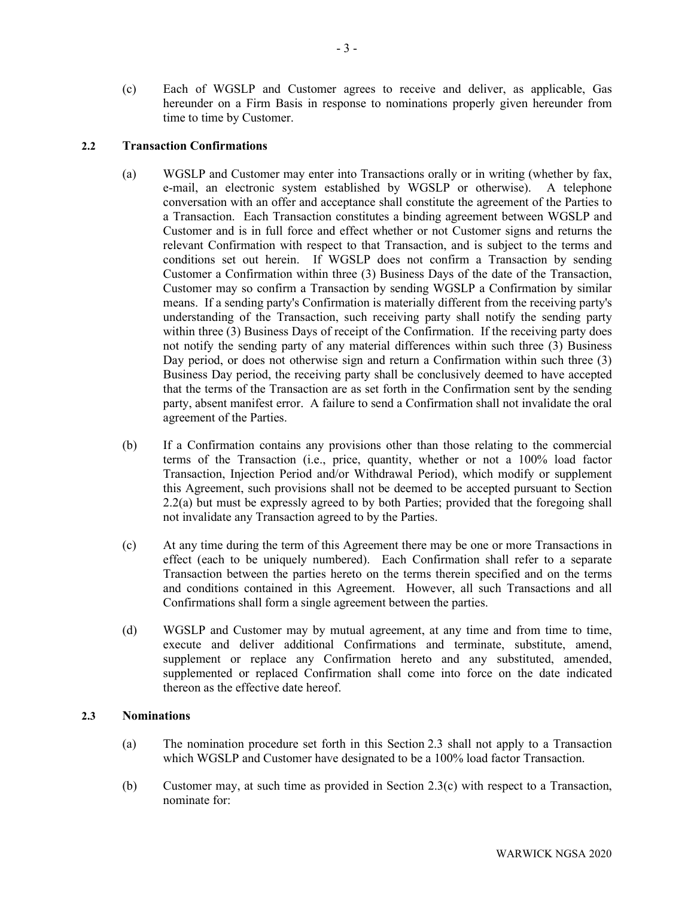(c) Each of WGSLP and Customer agrees to receive and deliver, as applicable, Gas hereunder on a Firm Basis in response to nominations properly given hereunder from time to time by Customer.

# **2.2 Transaction Confirmations**

- (a) WGSLP and Customer may enter into Transactions orally or in writing (whether by fax, e-mail, an electronic system established by WGSLP or otherwise). A telephone conversation with an offer and acceptance shall constitute the agreement of the Parties to a Transaction. Each Transaction constitutes a binding agreement between WGSLP and Customer and is in full force and effect whether or not Customer signs and returns the relevant Confirmation with respect to that Transaction, and is subject to the terms and conditions set out herein. If WGSLP does not confirm a Transaction by sending Customer a Confirmation within three (3) Business Days of the date of the Transaction, Customer may so confirm a Transaction by sending WGSLP a Confirmation by similar means. If a sending party's Confirmation is materially different from the receiving party's understanding of the Transaction, such receiving party shall notify the sending party within three (3) Business Days of receipt of the Confirmation. If the receiving party does not notify the sending party of any material differences within such three (3) Business Day period, or does not otherwise sign and return a Confirmation within such three (3) Business Day period, the receiving party shall be conclusively deemed to have accepted that the terms of the Transaction are as set forth in the Confirmation sent by the sending party, absent manifest error. A failure to send a Confirmation shall not invalidate the oral agreement of the Parties.
- (b) If a Confirmation contains any provisions other than those relating to the commercial terms of the Transaction (i.e., price, quantity, whether or not a 100% load factor Transaction, Injection Period and/or Withdrawal Period), which modify or supplement this Agreement, such provisions shall not be deemed to be accepted pursuant to Section 2.2(a) but must be expressly agreed to by both Parties; provided that the foregoing shall not invalidate any Transaction agreed to by the Parties.
- (c) At any time during the term of this Agreement there may be one or more Transactions in effect (each to be uniquely numbered). Each Confirmation shall refer to a separate Transaction between the parties hereto on the terms therein specified and on the terms and conditions contained in this Agreement. However, all such Transactions and all Confirmations shall form a single agreement between the parties.
- (d) WGSLP and Customer may by mutual agreement, at any time and from time to time, execute and deliver additional Confirmations and terminate, substitute, amend, supplement or replace any Confirmation hereto and any substituted, amended, supplemented or replaced Confirmation shall come into force on the date indicated thereon as the effective date hereof.

### <span id="page-5-0"></span>**2.3 Nominations**

- (a) The nomination procedure set forth in this Section [2.3](#page-5-0) shall not apply to a Transaction which WGSLP and Customer have designated to be a 100% load factor Transaction.
- <span id="page-5-1"></span>(b) Customer may, at such time as provided in Section [2.3\(c\)](#page-6-0) with respect to a Transaction, nominate for: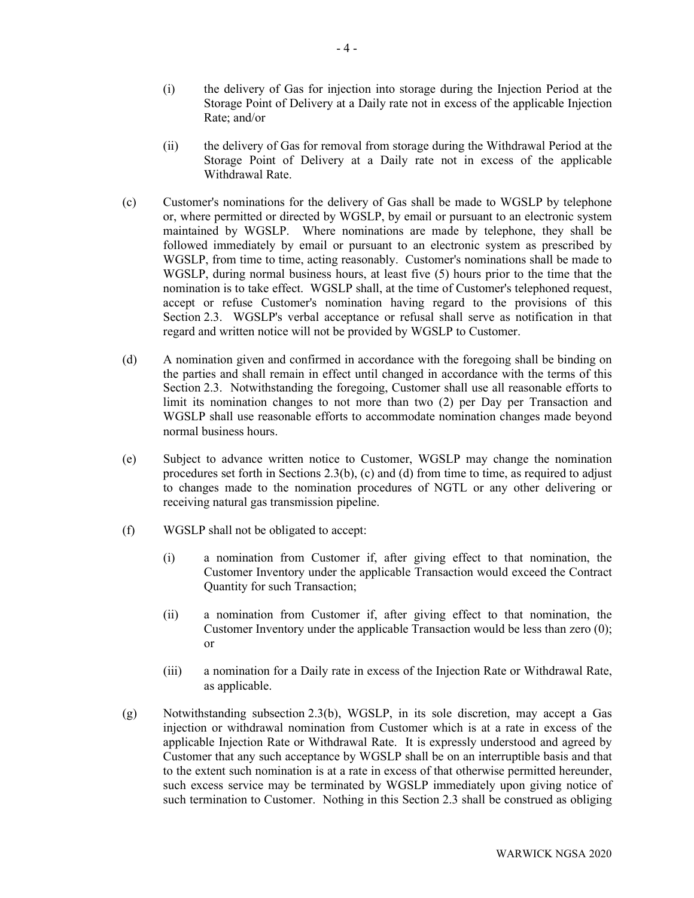- (i) the delivery of Gas for injection into storage during the Injection Period at the Storage Point of Delivery at a Daily rate not in excess of the applicable Injection Rate; and/or
- (ii) the delivery of Gas for removal from storage during the Withdrawal Period at the Storage Point of Delivery at a Daily rate not in excess of the applicable Withdrawal Rate.
- <span id="page-6-0"></span>(c) Customer's nominations for the delivery of Gas shall be made to WGSLP by telephone or, where permitted or directed by WGSLP, by email or pursuant to an electronic system maintained by WGSLP. Where nominations are made by telephone, they shall be followed immediately by email or pursuant to an electronic system as prescribed by WGSLP, from time to time, acting reasonably. Customer's nominations shall be made to WGSLP, during normal business hours, at least five (5) hours prior to the time that the nomination is to take effect. WGSLP shall, at the time of Customer's telephoned request, accept or refuse Customer's nomination having regard to the provisions of this Section [2.3.](#page-5-0) WGSLP's verbal acceptance or refusal shall serve as notification in that regard and written notice will not be provided by WGSLP to Customer.
- <span id="page-6-1"></span>(d) A nomination given and confirmed in accordance with the foregoing shall be binding on the parties and shall remain in effect until changed in accordance with the terms of this Section [2.3.](#page-5-0) Notwithstanding the foregoing, Customer shall use all reasonable efforts to limit its nomination changes to not more than two (2) per Day per Transaction and WGSLP shall use reasonable efforts to accommodate nomination changes made beyond normal business hours.
- (e) Subject to advance written notice to Customer, WGSLP may change the nomination procedures set forth in Sections [2.3](#page-5-0)[\(b\),](#page-5-1) [\(c\)](#page-6-0) and [\(d\)](#page-6-1) from time to time, as required to adjust to changes made to the nomination procedures of NGTL or any other delivering or receiving natural gas transmission pipeline.
- (f) WGSLP shall not be obligated to accept:
	- (i) a nomination from Customer if, after giving effect to that nomination, the Customer Inventory under the applicable Transaction would exceed the Contract Quantity for such Transaction;
	- (ii) a nomination from Customer if, after giving effect to that nomination, the Customer Inventory under the applicable Transaction would be less than zero (0); or
	- (iii) a nomination for a Daily rate in excess of the Injection Rate or Withdrawal Rate, as applicable.
- (g) Notwithstanding subsection [2.3](#page-5-0)[\(b\),](#page-5-1) WGSLP, in its sole discretion, may accept a Gas injection or withdrawal nomination from Customer which is at a rate in excess of the applicable Injection Rate or Withdrawal Rate. It is expressly understood and agreed by Customer that any such acceptance by WGSLP shall be on an interruptible basis and that to the extent such nomination is at a rate in excess of that otherwise permitted hereunder, such excess service may be terminated by WGSLP immediately upon giving notice of such termination to Customer. Nothing in this Section [2.3](#page-5-0) shall be construed as obliging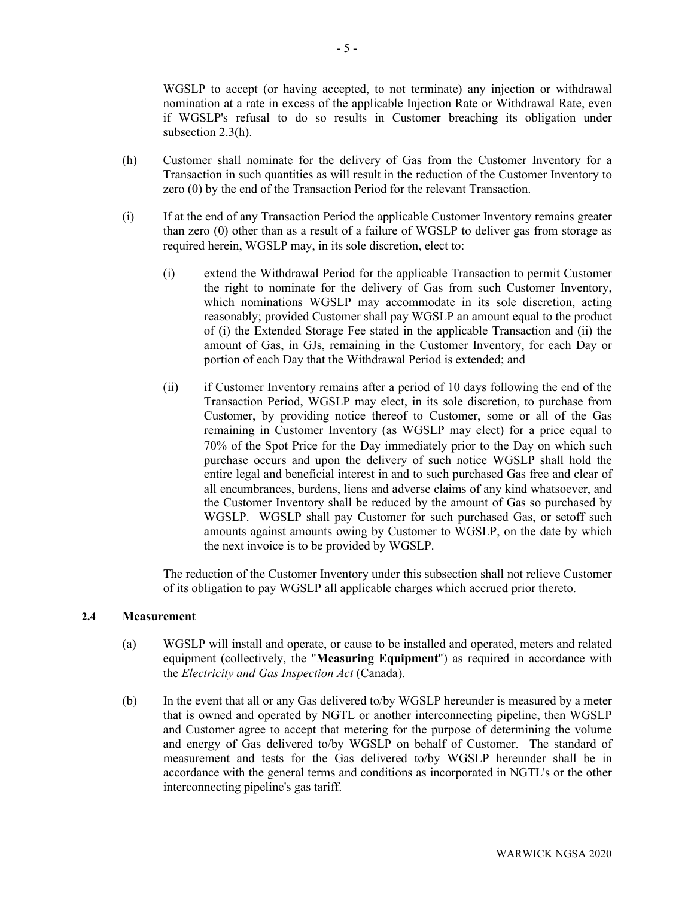WGSLP to accept (or having accepted, to not terminate) any injection or withdrawal nomination at a rate in excess of the applicable Injection Rate or Withdrawal Rate, even if WGSLP's refusal to do so results in Customer breaching its obligation under subsection [2.3](#page-5-0)[\(h\).](#page-7-0)

- <span id="page-7-0"></span>(h) Customer shall nominate for the delivery of Gas from the Customer Inventory for a Transaction in such quantities as will result in the reduction of the Customer Inventory to zero (0) by the end of the Transaction Period for the relevant Transaction.
- <span id="page-7-1"></span>(i) If at the end of any Transaction Period the applicable Customer Inventory remains greater than zero (0) other than as a result of a failure of WGSLP to deliver gas from storage as required herein, WGSLP may, in its sole discretion, elect to:
	- (i) extend the Withdrawal Period for the applicable Transaction to permit Customer the right to nominate for the delivery of Gas from such Customer Inventory, which nominations WGSLP may accommodate in its sole discretion, acting reasonably; provided Customer shall pay WGSLP an amount equal to the product of (i) the Extended Storage Fee stated in the applicable Transaction and (ii) the amount of Gas, in GJs, remaining in the Customer Inventory, for each Day or portion of each Day that the Withdrawal Period is extended; and
	- (ii) if Customer Inventory remains after a period of 10 days following the end of the Transaction Period, WGSLP may elect, in its sole discretion, to purchase from Customer, by providing notice thereof to Customer, some or all of the Gas remaining in Customer Inventory (as WGSLP may elect) for a price equal to 70% of the Spot Price for the Day immediately prior to the Day on which such purchase occurs and upon the delivery of such notice WGSLP shall hold the entire legal and beneficial interest in and to such purchased Gas free and clear of all encumbrances, burdens, liens and adverse claims of any kind whatsoever, and the Customer Inventory shall be reduced by the amount of Gas so purchased by WGSLP. WGSLP shall pay Customer for such purchased Gas, or setoff such amounts against amounts owing by Customer to WGSLP, on the date by which the next invoice is to be provided by WGSLP.

The reduction of the Customer Inventory under this subsection shall not relieve Customer of its obligation to pay WGSLP all applicable charges which accrued prior thereto.

### <span id="page-7-2"></span>**2.4 Measurement**

- (a) WGSLP will install and operate, or cause to be installed and operated, meters and related equipment (collectively, the "**Measuring Equipment**") as required in accordance with the *Electricity and Gas Inspection Act* (Canada).
- (b) In the event that all or any Gas delivered to/by WGSLP hereunder is measured by a meter that is owned and operated by NGTL or another interconnecting pipeline, then WGSLP and Customer agree to accept that metering for the purpose of determining the volume and energy of Gas delivered to/by WGSLP on behalf of Customer. The standard of measurement and tests for the Gas delivered to/by WGSLP hereunder shall be in accordance with the general terms and conditions as incorporated in NGTL's or the other interconnecting pipeline's gas tariff.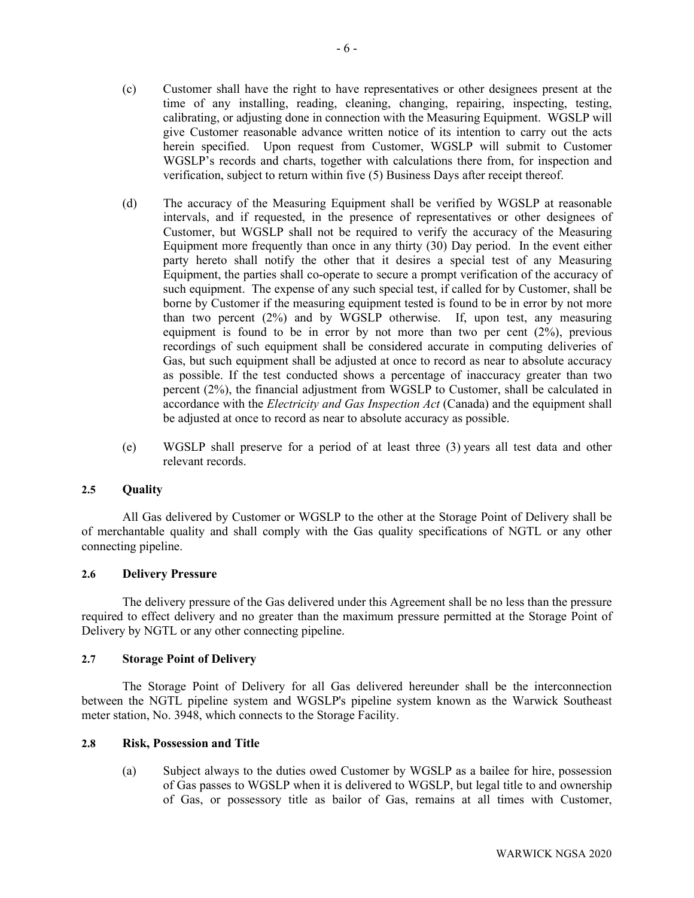- (c) Customer shall have the right to have representatives or other designees present at the time of any installing, reading, cleaning, changing, repairing, inspecting, testing, calibrating, or adjusting done in connection with the Measuring Equipment. WGSLP will give Customer reasonable advance written notice of its intention to carry out the acts herein specified. Upon request from Customer, WGSLP will submit to Customer WGSLP's records and charts, together with calculations there from, for inspection and verification, subject to return within five (5) Business Days after receipt thereof.
- (d) The accuracy of the Measuring Equipment shall be verified by WGSLP at reasonable intervals, and if requested, in the presence of representatives or other designees of Customer, but WGSLP shall not be required to verify the accuracy of the Measuring Equipment more frequently than once in any thirty (30) Day period. In the event either party hereto shall notify the other that it desires a special test of any Measuring Equipment, the parties shall co-operate to secure a prompt verification of the accuracy of such equipment. The expense of any such special test, if called for by Customer, shall be borne by Customer if the measuring equipment tested is found to be in error by not more than two percent (2%) and by WGSLP otherwise. If, upon test, any measuring equipment is found to be in error by not more than two per cent (2%), previous recordings of such equipment shall be considered accurate in computing deliveries of Gas, but such equipment shall be adjusted at once to record as near to absolute accuracy as possible. If the test conducted shows a percentage of inaccuracy greater than two percent (2%), the financial adjustment from WGSLP to Customer, shall be calculated in accordance with the *Electricity and Gas Inspection Act* (Canada) and the equipment shall be adjusted at once to record as near to absolute accuracy as possible.
- (e) WGSLP shall preserve for a period of at least three (3) years all test data and other relevant records.

### **2.5 Quality**

All Gas delivered by Customer or WGSLP to the other at the Storage Point of Delivery shall be of merchantable quality and shall comply with the Gas quality specifications of NGTL or any other connecting pipeline.

#### **2.6 Delivery Pressure**

The delivery pressure of the Gas delivered under this Agreement shall be no less than the pressure required to effect delivery and no greater than the maximum pressure permitted at the Storage Point of Delivery by NGTL or any other connecting pipeline.

#### <span id="page-8-0"></span>**2.7 Storage Point of Delivery**

The Storage Point of Delivery for all Gas delivered hereunder shall be the interconnection between the NGTL pipeline system and WGSLP's pipeline system known as the Warwick Southeast meter station, No. 3948, which connects to the Storage Facility.

#### **2.8 Risk, Possession and Title**

(a) Subject always to the duties owed Customer by WGSLP as a bailee for hire, possession of Gas passes to WGSLP when it is delivered to WGSLP, but legal title to and ownership of Gas, or possessory title as bailor of Gas, remains at all times with Customer,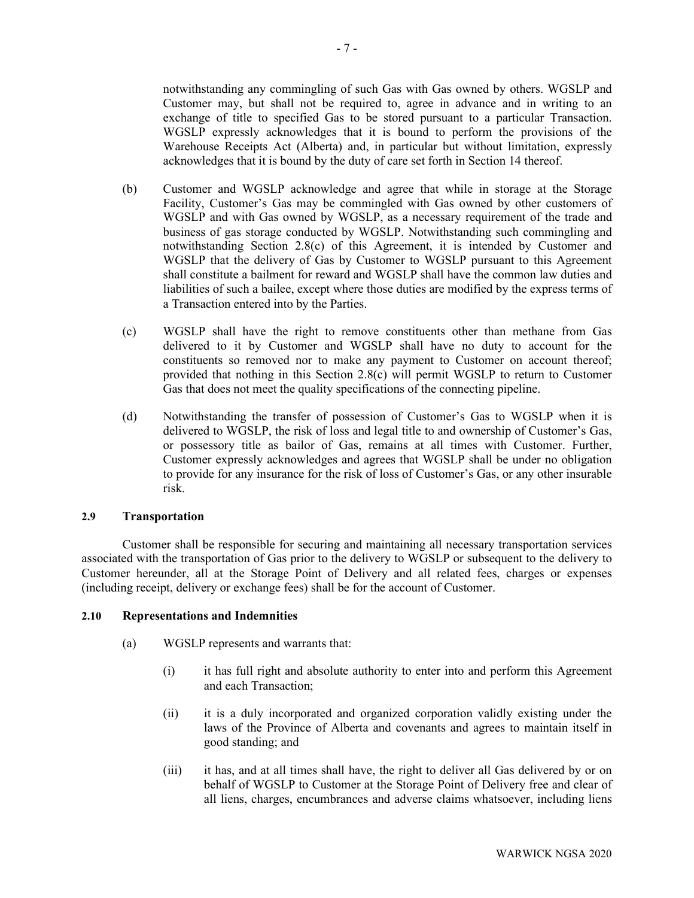notwithstanding any commingling of such Gas with Gas owned by others. WGSLP and Customer may, but shall not be required to, agree in advance and in writing to an exchange of title to specified Gas to be stored pursuant to a particular Transaction. WGSLP expressly acknowledges that it is bound to perform the provisions of the Warehouse Receipts Act (Alberta) and, in particular but without limitation, expressly acknowledges that it is bound by the duty of care set forth in Section 14 thereof.

- (b) Customer and WGSLP acknowledge and agree that while in storage at the Storage Facility, Customer's Gas may be commingled with Gas owned by other customers of WGSLP and with Gas owned by WGSLP, as a necessary requirement of the trade and business of gas storage conducted by WGSLP. Notwithstanding such commingling and notwithstanding Section 2.8(c) of this Agreement, it is intended by Customer and WGSLP that the delivery of Gas by Customer to WGSLP pursuant to this Agreement shall constitute a bailment for reward and WGSLP shall have the common law duties and liabilities of such a bailee, except where those duties are modified by the express terms of a Transaction entered into by the Parties.
- (c) WGSLP shall have the right to remove constituents other than methane from Gas delivered to it by Customer and WGSLP shall have no duty to account for the constituents so removed nor to make any payment to Customer on account thereof; provided that nothing in this Section 2.8(c) will permit WGSLP to return to Customer Gas that does not meet the quality specifications of the connecting pipeline.
- (d) Notwithstanding the transfer of possession of Customer's Gas to WGSLP when it is delivered to WGSLP, the risk of loss and legal title to and ownership of Customer's Gas, or possessory title as bailor of Gas, remains at all times with Customer. Further, Customer expressly acknowledges and agrees that WGSLP shall be under no obligation to provide for any insurance for the risk of loss of Customer's Gas, or any other insurable risk.

### **2.9 Transportation**

Customer shall be responsible for securing and maintaining all necessary transportation services associated with the transportation of Gas prior to the delivery to WGSLP or subsequent to the delivery to Customer hereunder, all at the Storage Point of Delivery and all related fees, charges or expenses (including receipt, delivery or exchange fees) shall be for the account of Customer.

### **2.10 Representations and Indemnities**

- <span id="page-9-0"></span>(a) WGSLP represents and warrants that:
	- (i) it has full right and absolute authority to enter into and perform this Agreement and each Transaction;
	- (ii) it is a duly incorporated and organized corporation validly existing under the laws of the Province of Alberta and covenants and agrees to maintain itself in good standing; and
	- (iii) it has, and at all times shall have, the right to deliver all Gas delivered by or on behalf of WGSLP to Customer at the Storage Point of Delivery free and clear of all liens, charges, encumbrances and adverse claims whatsoever, including liens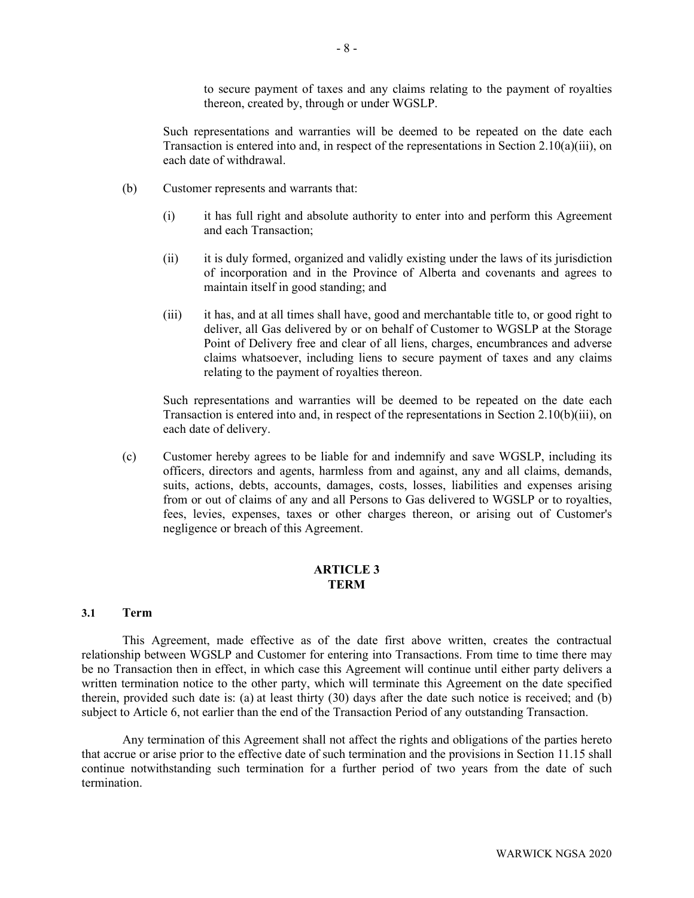to secure payment of taxes and any claims relating to the payment of royalties thereon, created by, through or under WGSLP.

Such representations and warranties will be deemed to be repeated on the date each Transaction is entered into and, in respect of the representations in Section  $2.10(a)(iii)$ , on each date of withdrawal.

- (b) Customer represents and warrants that:
	- (i) it has full right and absolute authority to enter into and perform this Agreement and each Transaction;
	- (ii) it is duly formed, organized and validly existing under the laws of its jurisdiction of incorporation and in the Province of Alberta and covenants and agrees to maintain itself in good standing; and
	- (iii) it has, and at all times shall have, good and merchantable title to, or good right to deliver, all Gas delivered by or on behalf of Customer to WGSLP at the Storage Point of Delivery free and clear of all liens, charges, encumbrances and adverse claims whatsoever, including liens to secure payment of taxes and any claims relating to the payment of royalties thereon.

<span id="page-10-0"></span>Such representations and warranties will be deemed to be repeated on the date each Transaction is entered into and, in respect of the representations in Section [2.10\(b\)\(iii\),](#page-10-0) on each date of delivery.

(c) Customer hereby agrees to be liable for and indemnify and save WGSLP, including its officers, directors and agents, harmless from and against, any and all claims, demands, suits, actions, debts, accounts, damages, costs, losses, liabilities and expenses arising from or out of claims of any and all Persons to Gas delivered to WGSLP or to royalties, fees, levies, expenses, taxes or other charges thereon, or arising out of Customer's negligence or breach of this Agreement.

# **ARTICLE 3 TERM**

#### **3.1 Term**

This Agreement, made effective as of the date first above written, creates the contractual relationship between WGSLP and Customer for entering into Transactions. From time to time there may be no Transaction then in effect, in which case this Agreement will continue until either party delivers a written termination notice to the other party, which will terminate this Agreement on the date specified therein, provided such date is: (a) at least thirty (30) days after the date such notice is received; and (b) subject to [Article 6,](#page-12-0) not earlier than the end of the Transaction Period of any outstanding Transaction.

Any termination of this Agreement shall not affect the rights and obligations of the parties hereto that accrue or arise prior to the effective date of such termination and the provisions in Sectio[n 11.15](#page-27-0) shall continue notwithstanding such termination for a further period of two years from the date of such termination.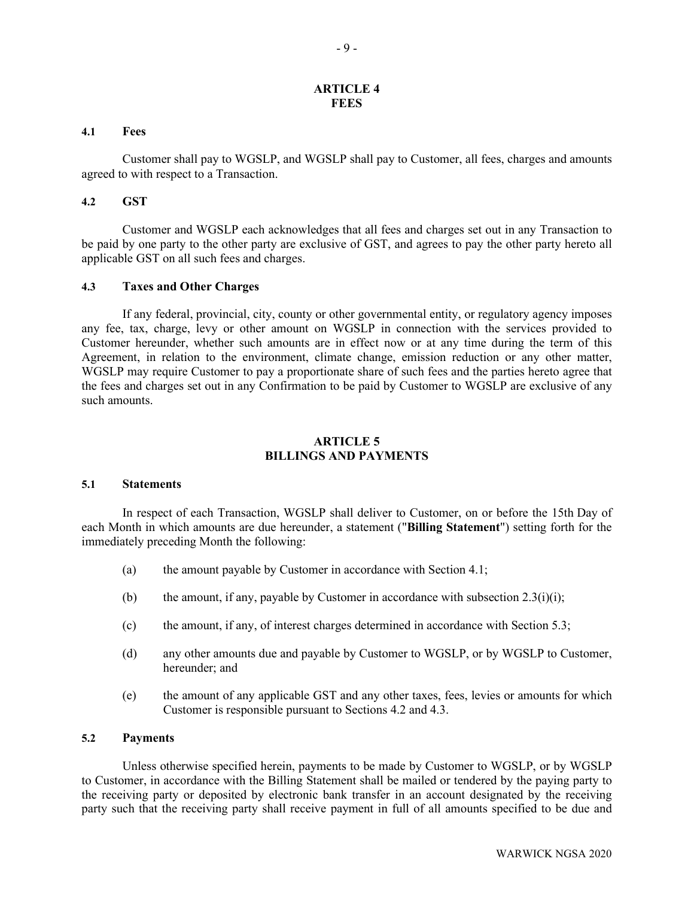## **ARTICLE 4 FEES**

#### <span id="page-11-0"></span>**4.1 Fees**

Customer shall pay to WGSLP, and WGSLP shall pay to Customer, all fees, charges and amounts agreed to with respect to a Transaction.

#### **4.2 GST**

Customer and WGSLP each acknowledges that all fees and charges set out in any Transaction to be paid by one party to the other party are exclusive of GST, and agrees to pay the other party hereto all applicable GST on all such fees and charges.

### **4.3 Taxes and Other Charges**

If any federal, provincial, city, county or other governmental entity, or regulatory agency imposes any fee, tax, charge, levy or other amount on WGSLP in connection with the services provided to Customer hereunder, whether such amounts are in effect now or at any time during the term of this Agreement, in relation to the environment, climate change, emission reduction or any other matter, WGSLP may require Customer to pay a proportionate share of such fees and the parties hereto agree that the fees and charges set out in any Confirmation to be paid by Customer to WGSLP are exclusive of any such amounts.

## **ARTICLE 5 BILLINGS AND PAYMENTS**

#### <span id="page-11-1"></span>**5.1 Statements**

In respect of each Transaction, WGSLP shall deliver to Customer, on or before the 15th Day of each Month in which amounts are due hereunder, a statement ("**Billing Statement**") setting forth for the immediately preceding Month the following:

- (a) the amount payable by Customer in accordance with Section [4.1;](#page-11-0)
- (b) the amount, if any, payable by Customer in accordance with subsection  $2.3(i)(i)$ ;
- (c) the amount, if any, of interest charges determined in accordance with Section [5.3;](#page-12-1)
- (d) any other amounts due and payable by Customer to WGSLP, or by WGSLP to Customer, hereunder; and
- (e) the amount of any applicable GST and any other taxes, fees, levies or amounts for which Customer is responsible pursuant to Sections 4.2 and 4.3.

# **5.2 Payments**

Unless otherwise specified herein, payments to be made by Customer to WGSLP, or by WGSLP to Customer, in accordance with the Billing Statement shall be mailed or tendered by the paying party to the receiving party or deposited by electronic bank transfer in an account designated by the receiving party such that the receiving party shall receive payment in full of all amounts specified to be due and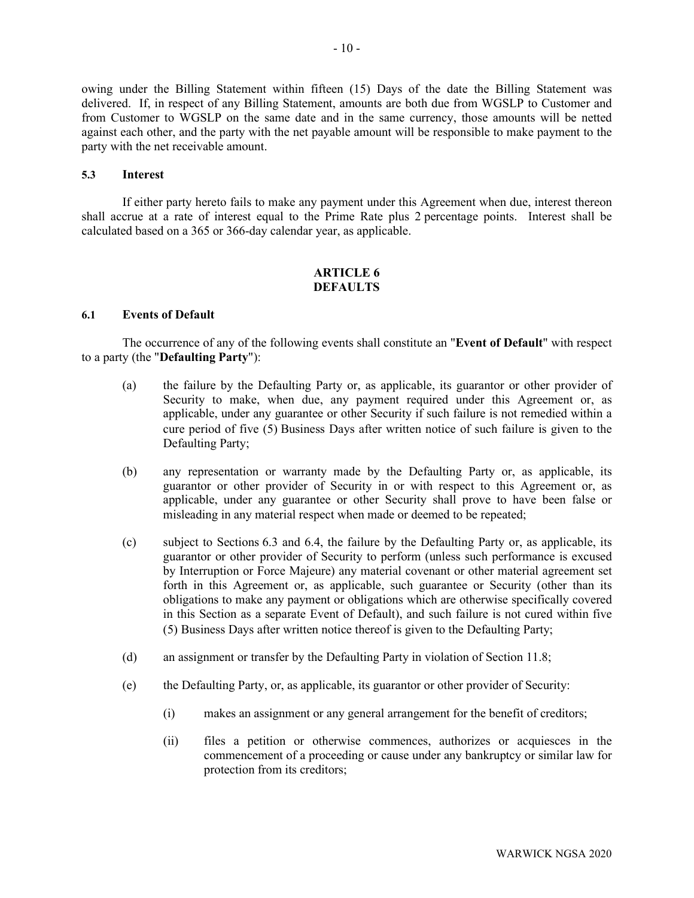owing under the Billing Statement within fifteen (15) Days of the date the Billing Statement was delivered. If, in respect of any Billing Statement, amounts are both due from WGSLP to Customer and from Customer to WGSLP on the same date and in the same currency, those amounts will be netted against each other, and the party with the net payable amount will be responsible to make payment to the party with the net receivable amount.

### <span id="page-12-1"></span>**5.3 Interest**

<span id="page-12-0"></span>If either party hereto fails to make any payment under this Agreement when due, interest thereon shall accrue at a rate of interest equal to the Prime Rate plus 2 percentage points. Interest shall be calculated based on a 365 or 366-day calendar year, as applicable.

# **ARTICLE 6 DEFAULTS**

### <span id="page-12-2"></span>**6.1 Events of Default**

The occurrence of any of the following events shall constitute an "**Event of Default**" with respect to a party (the "**Defaulting Party**"):

- (a) the failure by the Defaulting Party or, as applicable, its guarantor or other provider of Security to make, when due, any payment required under this Agreement or, as applicable, under any guarantee or other Security if such failure is not remedied within a cure period of five (5) Business Days after written notice of such failure is given to the Defaulting Party;
- (b) any representation or warranty made by the Defaulting Party or, as applicable, its guarantor or other provider of Security in or with respect to this Agreement or, as applicable, under any guarantee or other Security shall prove to have been false or misleading in any material respect when made or deemed to be repeated;
- (c) subject to Sections [6.3](#page-14-0) and [6.4,](#page-15-0) the failure by the Defaulting Party or, as applicable, its guarantor or other provider of Security to perform (unless such performance is excused by Interruption or Force Majeure) any material covenant or other material agreement set forth in this Agreement or, as applicable, such guarantee or Security (other than its obligations to make any payment or obligations which are otherwise specifically covered in this Section as a separate Event of Default), and such failure is not cured within five (5) Business Days after written notice thereof is given to the Defaulting Party;
- (d) an assignment or transfer by the Defaulting Party in violation of Section [11.8;](#page-25-0)
- (e) the Defaulting Party, or, as applicable, its guarantor or other provider of Security:
	- (i) makes an assignment or any general arrangement for the benefit of creditors;
	- (ii) files a petition or otherwise commences, authorizes or acquiesces in the commencement of a proceeding or cause under any bankruptcy or similar law for protection from its creditors;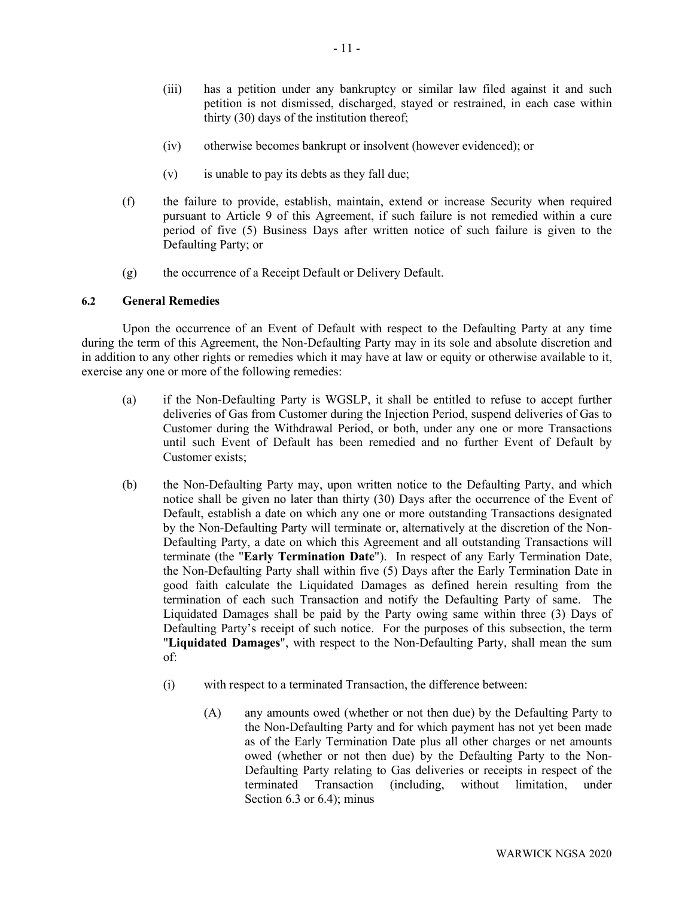- (iii) has a petition under any bankruptcy or similar law filed against it and such petition is not dismissed, discharged, stayed or restrained, in each case within thirty (30) days of the institution thereof;
- (iv) otherwise becomes bankrupt or insolvent (however evidenced); or
- (v) is unable to pay its debts as they fall due;
- (f) the failure to provide, establish, maintain, extend or increase Security when required pursuant to [Article 9](#page-20-0) of this Agreement, if such failure is not remedied within a cure period of five (5) Business Days after written notice of such failure is given to the Defaulting Party; or
- (g) the occurrence of a Receipt Default or Delivery Default.

# **6.2 General Remedies**

Upon the occurrence of an Event of Default with respect to the Defaulting Party at any time during the term of this Agreement, the Non-Defaulting Party may in its sole and absolute discretion and in addition to any other rights or remedies which it may have at law or equity or otherwise available to it, exercise any one or more of the following remedies:

- (a) if the Non-Defaulting Party is WGSLP, it shall be entitled to refuse to accept further deliveries of Gas from Customer during the Injection Period, suspend deliveries of Gas to Customer during the Withdrawal Period, or both, under any one or more Transactions until such Event of Default has been remedied and no further Event of Default by Customer exists;
- <span id="page-13-0"></span>(b) the Non-Defaulting Party may, upon written notice to the Defaulting Party, and which notice shall be given no later than thirty (30) Days after the occurrence of the Event of Default, establish a date on which any one or more outstanding Transactions designated by the Non-Defaulting Party will terminate or, alternatively at the discretion of the Non-Defaulting Party, a date on which this Agreement and all outstanding Transactions will terminate (the "**Early Termination Date**"). In respect of any Early Termination Date, the Non-Defaulting Party shall within five (5) Days after the Early Termination Date in good faith calculate the Liquidated Damages as defined herein resulting from the termination of each such Transaction and notify the Defaulting Party of same. The Liquidated Damages shall be paid by the Party owing same within three (3) Days of Defaulting Party's receipt of such notice. For the purposes of this subsection, the term "**Liquidated Damages**", with respect to the Non-Defaulting Party, shall mean the sum of:
	- (i) with respect to a terminated Transaction, the difference between:
		- (A) any amounts owed (whether or not then due) by the Defaulting Party to the Non-Defaulting Party and for which payment has not yet been made as of the Early Termination Date plus all other charges or net amounts owed (whether or not then due) by the Defaulting Party to the Non-Defaulting Party relating to Gas deliveries or receipts in respect of the terminated Transaction (including, without limitation, under Section [6.3](#page-14-0) or [6.4\)](#page-15-0); minus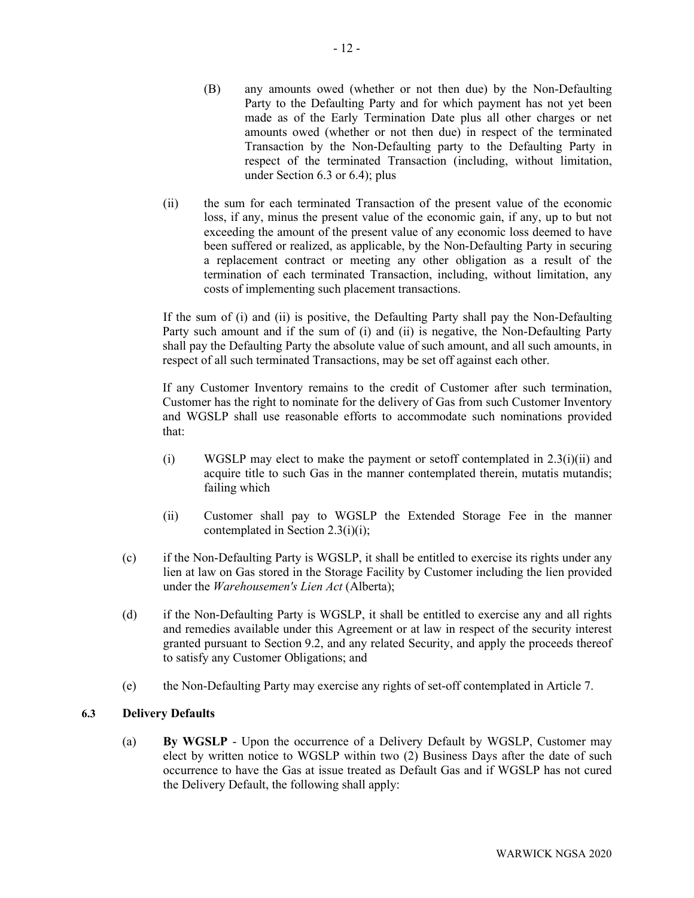- (B) any amounts owed (whether or not then due) by the Non-Defaulting Party to the Defaulting Party and for which payment has not yet been made as of the Early Termination Date plus all other charges or net amounts owed (whether or not then due) in respect of the terminated Transaction by the Non-Defaulting party to the Defaulting Party in respect of the terminated Transaction (including, without limitation, under Section [6.3](#page-14-0) or [6.4\)](#page-15-0); plus
- (ii) the sum for each terminated Transaction of the present value of the economic loss, if any, minus the present value of the economic gain, if any, up to but not exceeding the amount of the present value of any economic loss deemed to have been suffered or realized, as applicable, by the Non-Defaulting Party in securing a replacement contract or meeting any other obligation as a result of the termination of each terminated Transaction, including, without limitation, any costs of implementing such placement transactions.

If the sum of (i) and (ii) is positive, the Defaulting Party shall pay the Non-Defaulting Party such amount and if the sum of (i) and (ii) is negative, the Non-Defaulting Party shall pay the Defaulting Party the absolute value of such amount, and all such amounts, in respect of all such terminated Transactions, may be set off against each other.

If any Customer Inventory remains to the credit of Customer after such termination, Customer has the right to nominate for the delivery of Gas from such Customer Inventory and WGSLP shall use reasonable efforts to accommodate such nominations provided that:

- (i) WGSLP may elect to make the payment or setoff contemplated in  $2.3(i)(ii)$  and acquire title to such Gas in the manner contemplated therein, mutatis mutandis; failing which
- (ii) Customer shall pay to WGSLP the Extended Storage Fee in the manner contemplated in Section 2.3(i)(i);
- (c) if the Non-Defaulting Party is WGSLP, it shall be entitled to exercise its rights under any lien at law on Gas stored in the Storage Facility by Customer including the lien provided under the *Warehousemen's Lien Act* (Alberta);
- (d) if the Non-Defaulting Party is WGSLP, it shall be entitled to exercise any and all rights and remedies available under this Agreement or at law in respect of the security interest granted pursuant to Section 9.2, and any related Security, and apply the proceeds thereof to satisfy any Customer Obligations; and
- (e) the Non-Defaulting Party may exercise any rights of set-off contemplated in [Article 7.](#page-17-0)

# <span id="page-14-0"></span>**6.3 Delivery Defaults**

(a) **By WGSLP** - Upon the occurrence of a Delivery Default by WGSLP, Customer may elect by written notice to WGSLP within two (2) Business Days after the date of such occurrence to have the Gas at issue treated as Default Gas and if WGSLP has not cured the Delivery Default, the following shall apply: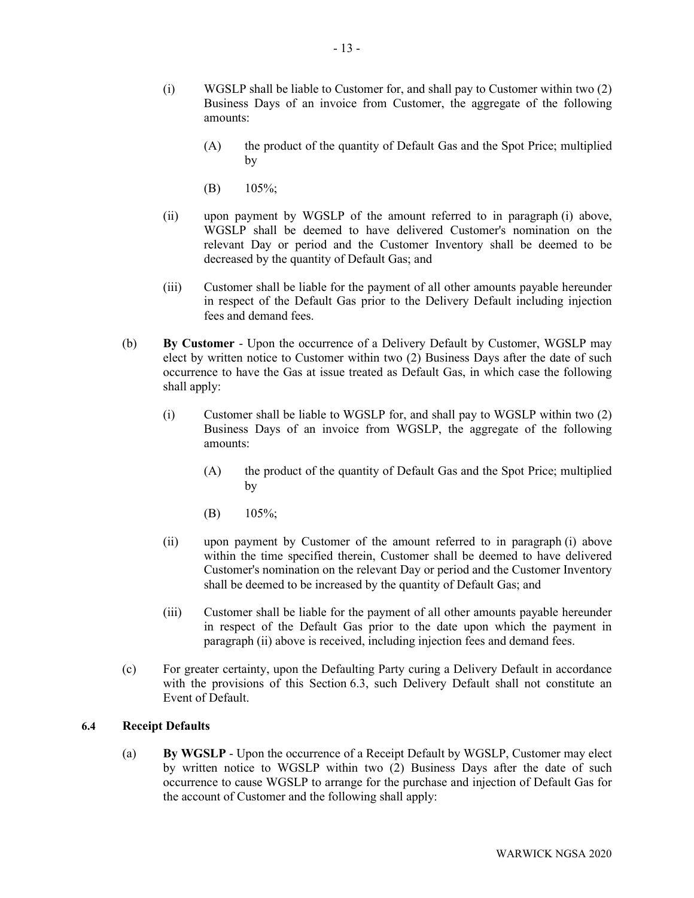- <span id="page-15-1"></span>(i) WGSLP shall be liable to Customer for, and shall pay to Customer within two (2) Business Days of an invoice from Customer, the aggregate of the following amounts:
	- (A) the product of the quantity of Default Gas and the Spot Price; multiplied by
	- (B) 105%;
- (ii) upon payment by WGSLP of the amount referred to in paragraph [\(i\) above,](#page-15-1)  WGSLP shall be deemed to have delivered Customer's nomination on the relevant Day or period and the Customer Inventory shall be deemed to be decreased by the quantity of Default Gas; and
- (iii) Customer shall be liable for the payment of all other amounts payable hereunder in respect of the Default Gas prior to the Delivery Default including injection fees and demand fees.
- <span id="page-15-2"></span>(b) **By Customer** - Upon the occurrence of a Delivery Default by Customer, WGSLP may elect by written notice to Customer within two (2) Business Days after the date of such occurrence to have the Gas at issue treated as Default Gas, in which case the following shall apply:
	- (i) Customer shall be liable to WGSLP for, and shall pay to WGSLP within two (2) Business Days of an invoice from WGSLP, the aggregate of the following amounts:
		- (A) the product of the quantity of Default Gas and the Spot Price; multiplied by
		- (B)  $105\%$ ;
	- (ii) upon payment by Customer of the amount referred to in paragraph [\(i\) above](#page-15-2) within the time specified therein, Customer shall be deemed to have delivered Customer's nomination on the relevant Day or period and the Customer Inventory shall be deemed to be increased by the quantity of Default Gas; and
	- (iii) Customer shall be liable for the payment of all other amounts payable hereunder in respect of the Default Gas prior to the date upon which the payment in paragraph (ii) above is received, including injection fees and demand fees.
- (c) For greater certainty, upon the Defaulting Party curing a Delivery Default in accordance with the provisions of this Section [6.3,](#page-14-0) such Delivery Default shall not constitute an Event of Default.

### <span id="page-15-0"></span>**6.4 Receipt Defaults**

(a) **By WGSLP** - Upon the occurrence of a Receipt Default by WGSLP, Customer may elect by written notice to WGSLP within two (2) Business Days after the date of such occurrence to cause WGSLP to arrange for the purchase and injection of Default Gas for the account of Customer and the following shall apply: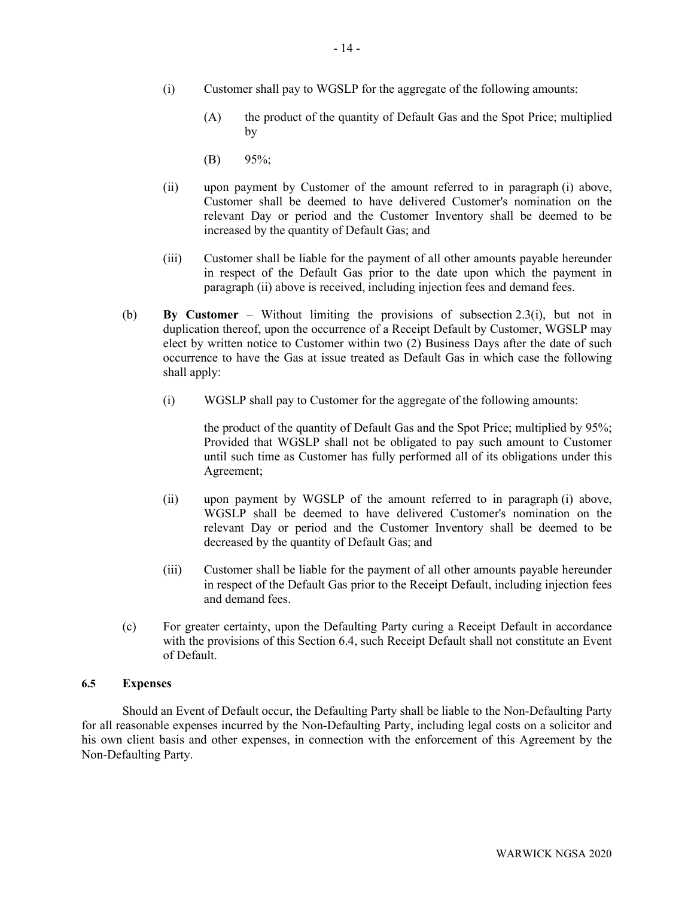- <span id="page-16-0"></span>(i) Customer shall pay to WGSLP for the aggregate of the following amounts:
	- (A) the product of the quantity of Default Gas and the Spot Price; multiplied by
	- $(B)$  95%;
- (ii) upon payment by Customer of the amount referred to in paragraph [\(i\) above,](#page-16-0)  Customer shall be deemed to have delivered Customer's nomination on the relevant Day or period and the Customer Inventory shall be deemed to be increased by the quantity of Default Gas; and
- (iii) Customer shall be liable for the payment of all other amounts payable hereunder in respect of the Default Gas prior to the date upon which the payment in paragraph (ii) above is received, including injection fees and demand fees.
- (b) **By Customer**  Without limiting the provisions of subsection [2.3\(i\),](#page-7-1) but not in duplication thereof, upon the occurrence of a Receipt Default by Customer, WGSLP may elect by written notice to Customer within two (2) Business Days after the date of such occurrence to have the Gas at issue treated as Default Gas in which case the following shall apply:
	- (i) WGSLP shall pay to Customer for the aggregate of the following amounts:

the product of the quantity of Default Gas and the Spot Price; multiplied by 95%; Provided that WGSLP shall not be obligated to pay such amount to Customer until such time as Customer has fully performed all of its obligations under this Agreement;

- (ii) upon payment by WGSLP of the amount referred to in paragraph [\(i\) above,](#page-16-0)  WGSLP shall be deemed to have delivered Customer's nomination on the relevant Day or period and the Customer Inventory shall be deemed to be decreased by the quantity of Default Gas; and
- (iii) Customer shall be liable for the payment of all other amounts payable hereunder in respect of the Default Gas prior to the Receipt Default, including injection fees and demand fees.
- (c) For greater certainty, upon the Defaulting Party curing a Receipt Default in accordance with the provisions of this Section [6.4,](#page-15-0) such Receipt Default shall not constitute an Event of Default.

## **6.5 Expenses**

Should an Event of Default occur, the Defaulting Party shall be liable to the Non-Defaulting Party for all reasonable expenses incurred by the Non-Defaulting Party, including legal costs on a solicitor and his own client basis and other expenses, in connection with the enforcement of this Agreement by the Non-Defaulting Party.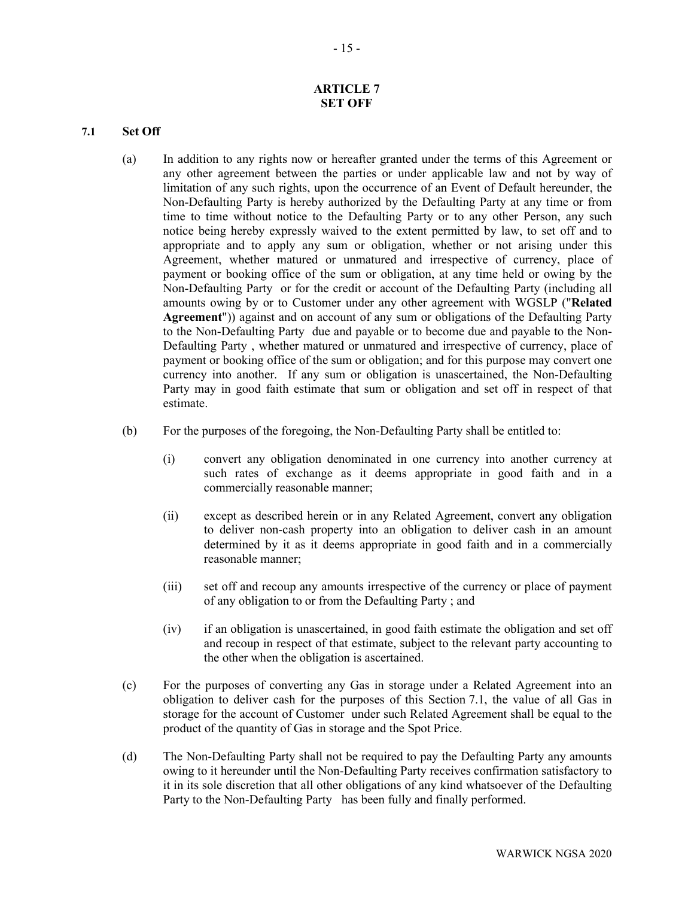# **ARTICLE 7 SET OFF**

## <span id="page-17-1"></span><span id="page-17-0"></span>**7.1 Set Off**

- (a) In addition to any rights now or hereafter granted under the terms of this Agreement or any other agreement between the parties or under applicable law and not by way of limitation of any such rights, upon the occurrence of an Event of Default hereunder, the Non-Defaulting Party is hereby authorized by the Defaulting Party at any time or from time to time without notice to the Defaulting Party or to any other Person, any such notice being hereby expressly waived to the extent permitted by law, to set off and to appropriate and to apply any sum or obligation, whether or not arising under this Agreement, whether matured or unmatured and irrespective of currency, place of payment or booking office of the sum or obligation, at any time held or owing by the Non-Defaulting Party or for the credit or account of the Defaulting Party (including all amounts owing by or to Customer under any other agreement with WGSLP ("**Related Agreement**")) against and on account of any sum or obligations of the Defaulting Party to the Non-Defaulting Party due and payable or to become due and payable to the Non-Defaulting Party , whether matured or unmatured and irrespective of currency, place of payment or booking office of the sum or obligation; and for this purpose may convert one currency into another. If any sum or obligation is unascertained, the Non-Defaulting Party may in good faith estimate that sum or obligation and set off in respect of that estimate.
- (b) For the purposes of the foregoing, the Non-Defaulting Party shall be entitled to:
	- (i) convert any obligation denominated in one currency into another currency at such rates of exchange as it deems appropriate in good faith and in a commercially reasonable manner;
	- (ii) except as described herein or in any Related Agreement, convert any obligation to deliver non-cash property into an obligation to deliver cash in an amount determined by it as it deems appropriate in good faith and in a commercially reasonable manner;
	- (iii) set off and recoup any amounts irrespective of the currency or place of payment of any obligation to or from the Defaulting Party ; and
	- (iv) if an obligation is unascertained, in good faith estimate the obligation and set off and recoup in respect of that estimate, subject to the relevant party accounting to the other when the obligation is ascertained.
- (c) For the purposes of converting any Gas in storage under a Related Agreement into an obligation to deliver cash for the purposes of this Section [7.1,](#page-17-1) the value of all Gas in storage for the account of Customer under such Related Agreement shall be equal to the product of the quantity of Gas in storage and the Spot Price.
- (d) The Non-Defaulting Party shall not be required to pay the Defaulting Party any amounts owing to it hereunder until the Non-Defaulting Party receives confirmation satisfactory to it in its sole discretion that all other obligations of any kind whatsoever of the Defaulting Party to the Non-Defaulting Party has been fully and finally performed.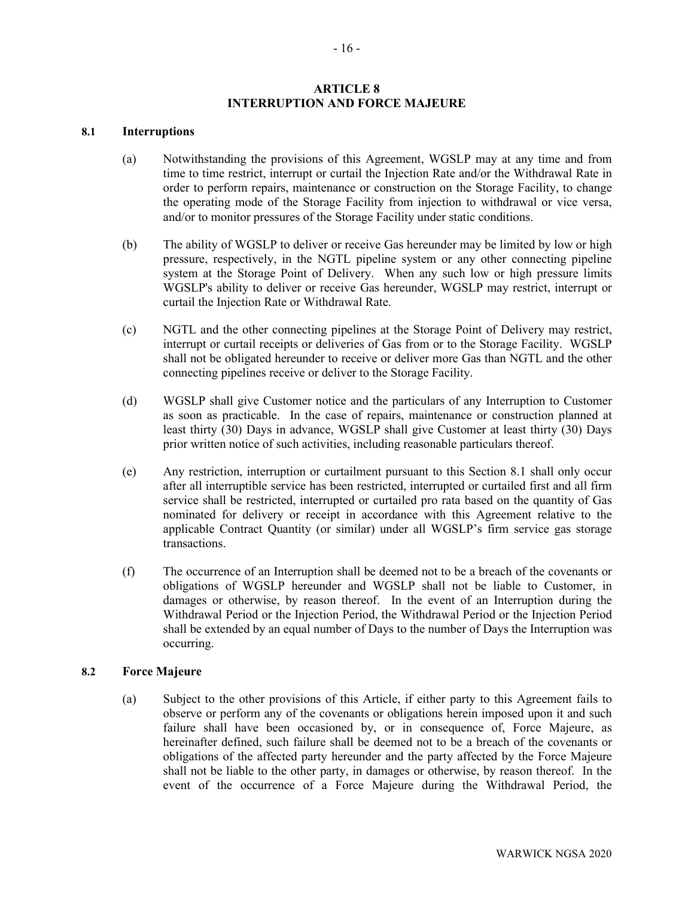# **ARTICLE 8 INTERRUPTION AND FORCE MAJEURE**

### <span id="page-18-3"></span><span id="page-18-0"></span>**8.1 Interruptions**

- (a) Notwithstanding the provisions of this Agreement, WGSLP may at any time and from time to time restrict, interrupt or curtail the Injection Rate and/or the Withdrawal Rate in order to perform repairs, maintenance or construction on the Storage Facility, to change the operating mode of the Storage Facility from injection to withdrawal or vice versa, and/or to monitor pressures of the Storage Facility under static conditions.
- <span id="page-18-4"></span>(b) The ability of WGSLP to deliver or receive Gas hereunder may be limited by low or high pressure, respectively, in the NGTL pipeline system or any other connecting pipeline system at the Storage Point of Delivery. When any such low or high pressure limits WGSLP's ability to deliver or receive Gas hereunder, WGSLP may restrict, interrupt or curtail the Injection Rate or Withdrawal Rate.
- <span id="page-18-5"></span>(c) NGTL and the other connecting pipelines at the Storage Point of Delivery may restrict, interrupt or curtail receipts or deliveries of Gas from or to the Storage Facility. WGSLP shall not be obligated hereunder to receive or deliver more Gas than NGTL and the other connecting pipelines receive or deliver to the Storage Facility.
- (d) WGSLP shall give Customer notice and the particulars of any Interruption to Customer as soon as practicable. In the case of repairs, maintenance or construction planned at least thirty (30) Days in advance, WGSLP shall give Customer at least thirty (30) Days prior written notice of such activities, including reasonable particulars thereof.
- (e) Any restriction, interruption or curtailment pursuant to this Section [8.1](#page-18-0) shall only occur after all interruptible service has been restricted, interrupted or curtailed first and all firm service shall be restricted, interrupted or curtailed pro rata based on the quantity of Gas nominated for delivery or receipt in accordance with this Agreement relative to the applicable Contract Quantity (or similar) under all WGSLP's firm service gas storage transactions.
- (f) The occurrence of an Interruption shall be deemed not to be a breach of the covenants or obligations of WGSLP hereunder and WGSLP shall not be liable to Customer, in damages or otherwise, by reason thereof. In the event of an Interruption during the Withdrawal Period or the Injection Period, the Withdrawal Period or the Injection Period shall be extended by an equal number of Days to the number of Days the Interruption was occurring.

#### <span id="page-18-2"></span><span id="page-18-1"></span>**8.2 Force Majeure**

(a) Subject to the other provisions of this Article, if either party to this Agreement fails to observe or perform any of the covenants or obligations herein imposed upon it and such failure shall have been occasioned by, or in consequence of, Force Majeure, as hereinafter defined, such failure shall be deemed not to be a breach of the covenants or obligations of the affected party hereunder and the party affected by the Force Majeure shall not be liable to the other party, in damages or otherwise, by reason thereof. In the event of the occurrence of a Force Majeure during the Withdrawal Period, the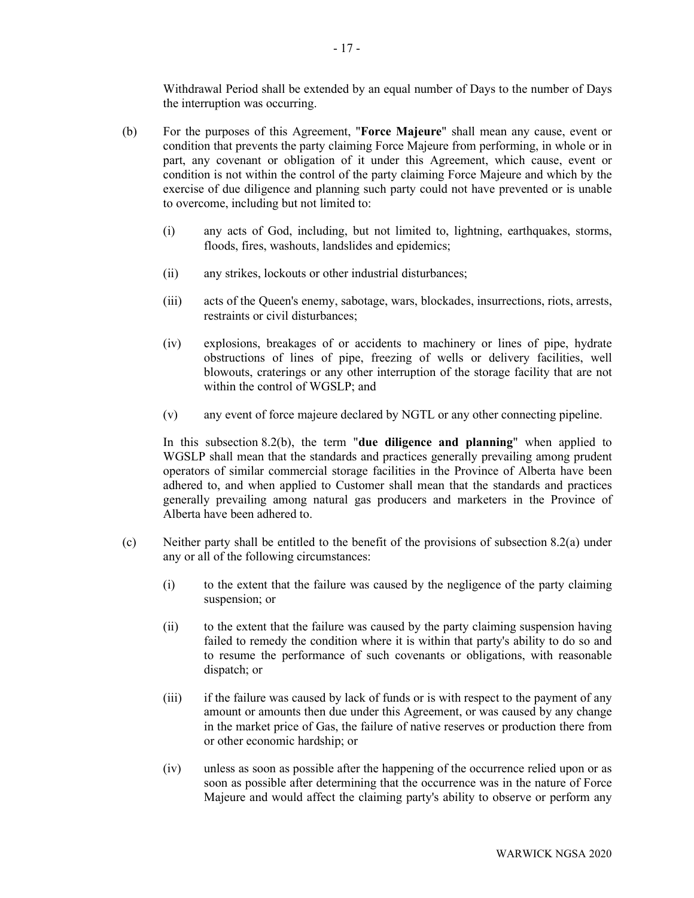Withdrawal Period shall be extended by an equal number of Days to the number of Days the interruption was occurring.

- <span id="page-19-0"></span>(b) For the purposes of this Agreement, "**Force Majeure**" shall mean any cause, event or condition that prevents the party claiming Force Majeure from performing, in whole or in part, any covenant or obligation of it under this Agreement, which cause, event or condition is not within the control of the party claiming Force Majeure and which by the exercise of due diligence and planning such party could not have prevented or is unable to overcome, including but not limited to:
	- (i) any acts of God, including, but not limited to, lightning, earthquakes, storms, floods, fires, washouts, landslides and epidemics;
	- (ii) any strikes, lockouts or other industrial disturbances;
	- (iii) acts of the Queen's enemy, sabotage, wars, blockades, insurrections, riots, arrests, restraints or civil disturbances;
	- (iv) explosions, breakages of or accidents to machinery or lines of pipe, hydrate obstructions of lines of pipe, freezing of wells or delivery facilities, well blowouts, craterings or any other interruption of the storage facility that are not within the control of WGSLP; and
	- (v) any event of force majeure declared by NGTL or any other connecting pipeline.

In this subsection [8.2\(b\),](#page-19-0) the term "**due diligence and planning**" when applied to WGSLP shall mean that the standards and practices generally prevailing among prudent operators of similar commercial storage facilities in the Province of Alberta have been adhered to, and when applied to Customer shall mean that the standards and practices generally prevailing among natural gas producers and marketers in the Province of Alberta have been adhered to.

- (c) Neither party shall be entitled to the benefit of the provisions of subsection [8.2\(a\)](#page-18-1) under any or all of the following circumstances:
	- (i) to the extent that the failure was caused by the negligence of the party claiming suspension; or
	- (ii) to the extent that the failure was caused by the party claiming suspension having failed to remedy the condition where it is within that party's ability to do so and to resume the performance of such covenants or obligations, with reasonable dispatch; or
	- (iii) if the failure was caused by lack of funds or is with respect to the payment of any amount or amounts then due under this Agreement, or was caused by any change in the market price of Gas, the failure of native reserves or production there from or other economic hardship; or
	- (iv) unless as soon as possible after the happening of the occurrence relied upon or as soon as possible after determining that the occurrence was in the nature of Force Majeure and would affect the claiming party's ability to observe or perform any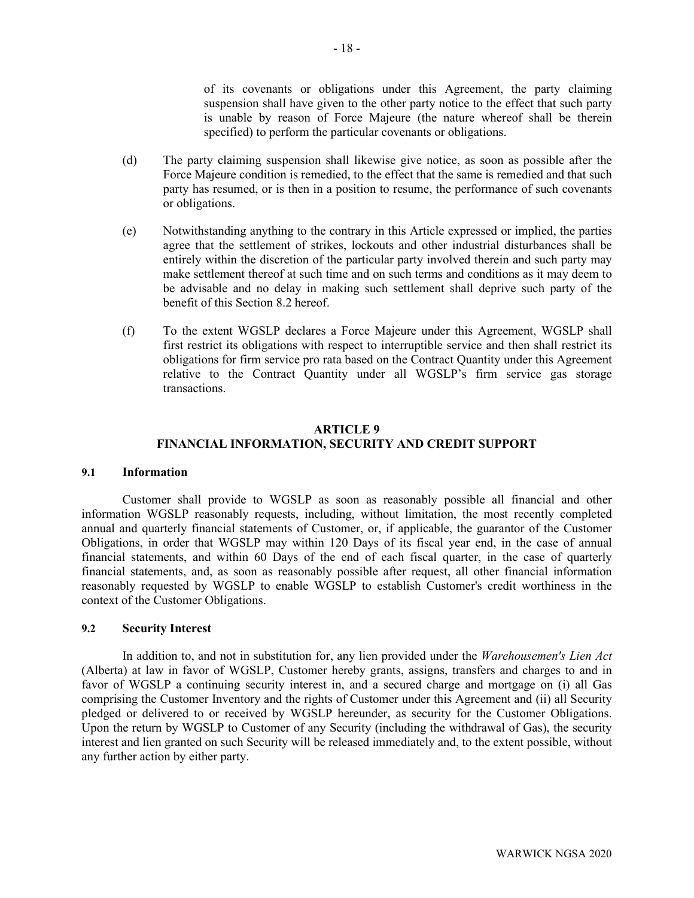of its covenants or obligations under this Agreement, the party claiming suspension shall have given to the other party notice to the effect that such party is unable by reason of Force Majeure (the nature whereof shall be therein specified) to perform the particular covenants or obligations.

- (d) The party claiming suspension shall likewise give notice, as soon as possible after the Force Majeure condition is remedied, to the effect that the same is remedied and that such party has resumed, or is then in a position to resume, the performance of such covenants or obligations.
- (e) Notwithstanding anything to the contrary in this Article expressed or implied, the parties agree that the settlement of strikes, lockouts and other industrial disturbances shall be entirely within the discretion of the particular party involved therein and such party may make settlement thereof at such time and on such terms and conditions as it may deem to be advisable and no delay in making such settlement shall deprive such party of the benefit of this Section [8.2](#page-18-2) hereof.
- (f) To the extent WGSLP declares a Force Majeure under this Agreement, WGSLP shall first restrict its obligations with respect to interruptible service and then shall restrict its obligations for firm service pro rata based on the Contract Quantity under this Agreement relative to the Contract Quantity under all WGSLP's firm service gas storage transactions.

# **ARTICLE 9 FINANCIAL INFORMATION, SECURITY AND CREDIT SUPPORT**

### <span id="page-20-0"></span>**9.1 Information**

Customer shall provide to WGSLP as soon as reasonably possible all financial and other information WGSLP reasonably requests, including, without limitation, the most recently completed annual and quarterly financial statements of Customer, or, if applicable, the guarantor of the Customer Obligations, in order that WGSLP may within 120 Days of its fiscal year end, in the case of annual financial statements, and within 60 Days of the end of each fiscal quarter, in the case of quarterly financial statements, and, as soon as reasonably possible after request, all other financial information reasonably requested by WGSLP to enable WGSLP to establish Customer's credit worthiness in the context of the Customer Obligations.

### **9.2 Security Interest**

In addition to, and not in substitution for, any lien provided under the *Warehousemen's Lien Act*  (Alberta) at law in favor of WGSLP, Customer hereby grants, assigns, transfers and charges to and in favor of WGSLP a continuing security interest in, and a secured charge and mortgage on (i) all Gas comprising the Customer Inventory and the rights of Customer under this Agreement and (ii) all Security pledged or delivered to or received by WGSLP hereunder, as security for the Customer Obligations. Upon the return by WGSLP to Customer of any Security (including the withdrawal of Gas), the security interest and lien granted on such Security will be released immediately and, to the extent possible, without any further action by either party.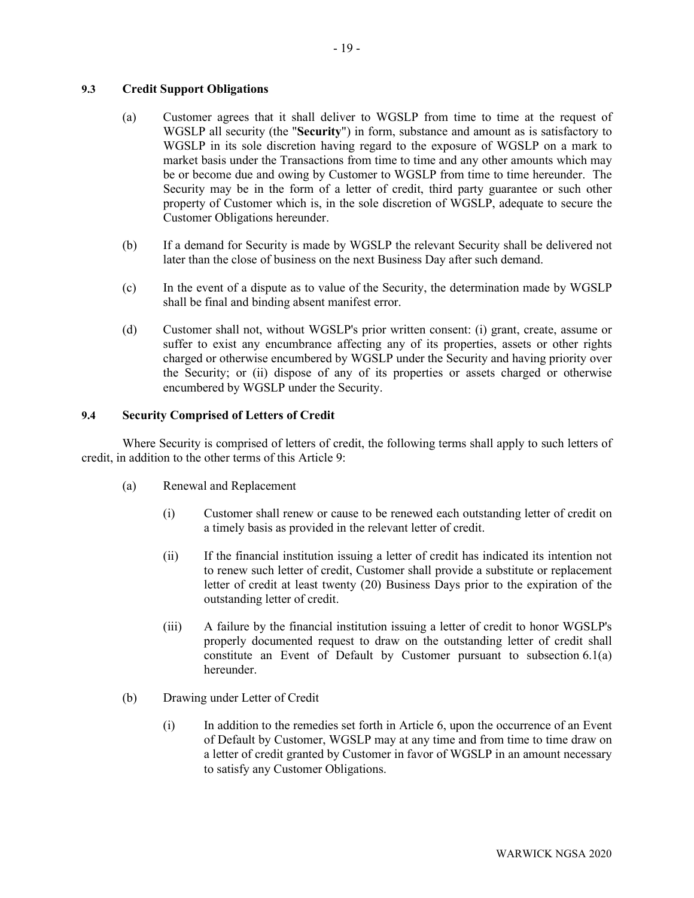# <span id="page-21-0"></span>**9.3 Credit Support Obligations**

- (a) Customer agrees that it shall deliver to WGSLP from time to time at the request of WGSLP all security (the "**Security**") in form, substance and amount as is satisfactory to WGSLP in its sole discretion having regard to the exposure of WGSLP on a mark to market basis under the Transactions from time to time and any other amounts which may be or become due and owing by Customer to WGSLP from time to time hereunder. The Security may be in the form of a letter of credit, third party guarantee or such other property of Customer which is, in the sole discretion of WGSLP, adequate to secure the Customer Obligations hereunder.
- (b) If a demand for Security is made by WGSLP the relevant Security shall be delivered not later than the close of business on the next Business Day after such demand.
- (c) In the event of a dispute as to value of the Security, the determination made by WGSLP shall be final and binding absent manifest error.
- (d) Customer shall not, without WGSLP's prior written consent: (i) grant, create, assume or suffer to exist any encumbrance affecting any of its properties, assets or other rights charged or otherwise encumbered by WGSLP under the Security and having priority over the Security; or (ii) dispose of any of its properties or assets charged or otherwise encumbered by WGSLP under the Security.

# **9.4 Security Comprised of Letters of Credit**

Where Security is comprised of letters of credit, the following terms shall apply to such letters of credit, in addition to the other terms of this Article 9:

- (a) Renewal and Replacement
	- (i) Customer shall renew or cause to be renewed each outstanding letter of credit on a timely basis as provided in the relevant letter of credit.
	- (ii) If the financial institution issuing a letter of credit has indicated its intention not to renew such letter of credit, Customer shall provide a substitute or replacement letter of credit at least twenty (20) Business Days prior to the expiration of the outstanding letter of credit.
	- (iii) A failure by the financial institution issuing a letter of credit to honor WGSLP's properly documented request to draw on the outstanding letter of credit shall constitute an Event of Default by Customer pursuant to subsection 6.1(a) hereunder.
- (b) Drawing under Letter of Credit
	- (i) In addition to the remedies set forth in Article 6, upon the occurrence of an Event of Default by Customer, WGSLP may at any time and from time to time draw on a letter of credit granted by Customer in favor of WGSLP in an amount necessary to satisfy any Customer Obligations.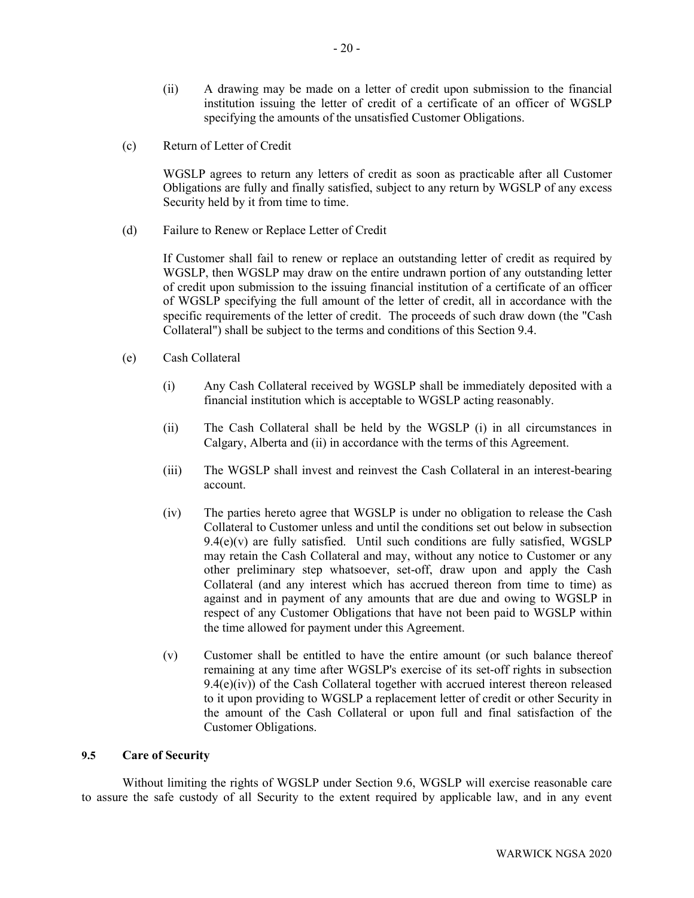- (ii) A drawing may be made on a letter of credit upon submission to the financial institution issuing the letter of credit of a certificate of an officer of WGSLP specifying the amounts of the unsatisfied Customer Obligations.
- (c) Return of Letter of Credit

WGSLP agrees to return any letters of credit as soon as practicable after all Customer Obligations are fully and finally satisfied, subject to any return by WGSLP of any excess Security held by it from time to time.

(d) Failure to Renew or Replace Letter of Credit

If Customer shall fail to renew or replace an outstanding letter of credit as required by WGSLP, then WGSLP may draw on the entire undrawn portion of any outstanding letter of credit upon submission to the issuing financial institution of a certificate of an officer of WGSLP specifying the full amount of the letter of credit, all in accordance with the specific requirements of the letter of credit. The proceeds of such draw down (the "Cash Collateral") shall be subject to the terms and conditions of this Section 9.4.

- (e) Cash Collateral
	- (i) Any Cash Collateral received by WGSLP shall be immediately deposited with a financial institution which is acceptable to WGSLP acting reasonably.
	- (ii) The Cash Collateral shall be held by the WGSLP (i) in all circumstances in Calgary, Alberta and (ii) in accordance with the terms of this Agreement.
	- (iii) The WGSLP shall invest and reinvest the Cash Collateral in an interest-bearing account.
	- (iv) The parties hereto agree that WGSLP is under no obligation to release the Cash Collateral to Customer unless and until the conditions set out below in subsection  $9.4(e)(v)$  are fully satisfied. Until such conditions are fully satisfied, WGSLP may retain the Cash Collateral and may, without any notice to Customer or any other preliminary step whatsoever, set-off, draw upon and apply the Cash Collateral (and any interest which has accrued thereon from time to time) as against and in payment of any amounts that are due and owing to WGSLP in respect of any Customer Obligations that have not been paid to WGSLP within the time allowed for payment under this Agreement.
	- (v) Customer shall be entitled to have the entire amount (or such balance thereof remaining at any time after WGSLP's exercise of its set-off rights in subsection  $9.4(e)(iv)$ ) of the Cash Collateral together with accrued interest thereon released to it upon providing to WGSLP a replacement letter of credit or other Security in the amount of the Cash Collateral or upon full and final satisfaction of the Customer Obligations.

## **9.5 Care of Security**

Without limiting the rights of WGSLP under Section 9.6, WGSLP will exercise reasonable care to assure the safe custody of all Security to the extent required by applicable law, and in any event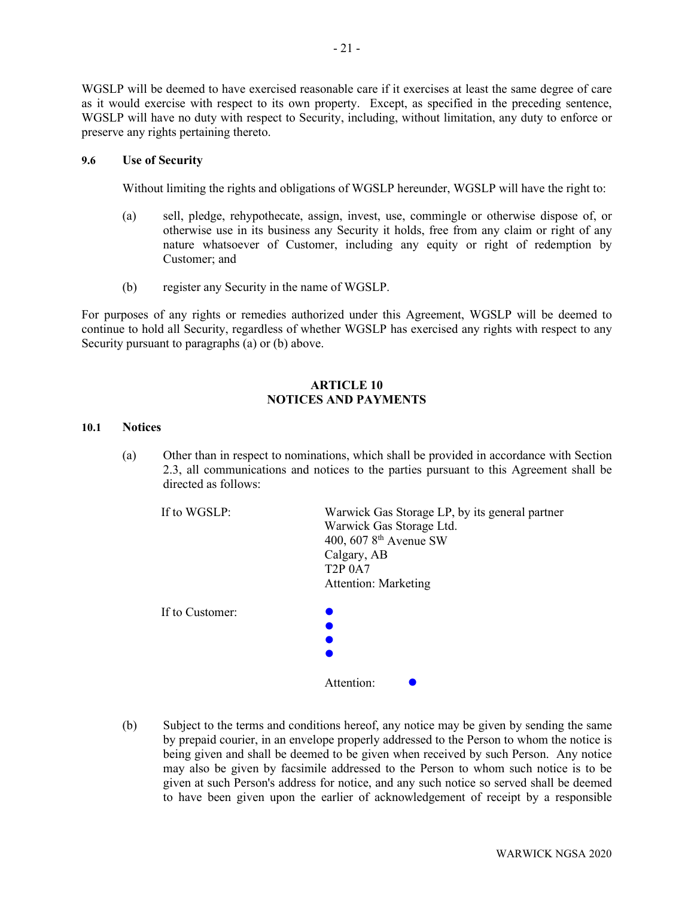WGSLP will be deemed to have exercised reasonable care if it exercises at least the same degree of care as it would exercise with respect to its own property. Except, as specified in the preceding sentence, WGSLP will have no duty with respect to Security, including, without limitation, any duty to enforce or preserve any rights pertaining thereto.

### **9.6 Use of Security**

Without limiting the rights and obligations of WGSLP hereunder, WGSLP will have the right to:

- (a) sell, pledge, rehypothecate, assign, invest, use, commingle or otherwise dispose of, or otherwise use in its business any Security it holds, free from any claim or right of any nature whatsoever of Customer, including any equity or right of redemption by Customer; and
- (b) register any Security in the name of WGSLP.

For purposes of any rights or remedies authorized under this Agreement, WGSLP will be deemed to continue to hold all Security, regardless of whether WGSLP has exercised any rights with respect to any Security pursuant to paragraphs (a) or (b) above.

# **ARTICLE 10 NOTICES AND PAYMENTS**

#### <span id="page-23-0"></span>**10.1 Notices**

(a) Other than in respect to nominations, which shall be provided in accordance with Section 2.3, all communications and notices to the parties pursuant to this Agreement shall be directed as follows:

| If to WGSLP:    | Warwick Gas Storage LP, by its general partner<br>Warwick Gas Storage Ltd.<br>400, 607 8 <sup>th</sup> Avenue SW<br>Calgary, AB<br><b>T2P 0A7</b><br><b>Attention: Marketing</b> |
|-----------------|----------------------------------------------------------------------------------------------------------------------------------------------------------------------------------|
| If to Customer: | Attention:                                                                                                                                                                       |

(b) Subject to the terms and conditions hereof, any notice may be given by sending the same by prepaid courier, in an envelope properly addressed to the Person to whom the notice is being given and shall be deemed to be given when received by such Person. Any notice may also be given by facsimile addressed to the Person to whom such notice is to be given at such Person's address for notice, and any such notice so served shall be deemed to have been given upon the earlier of acknowledgement of receipt by a responsible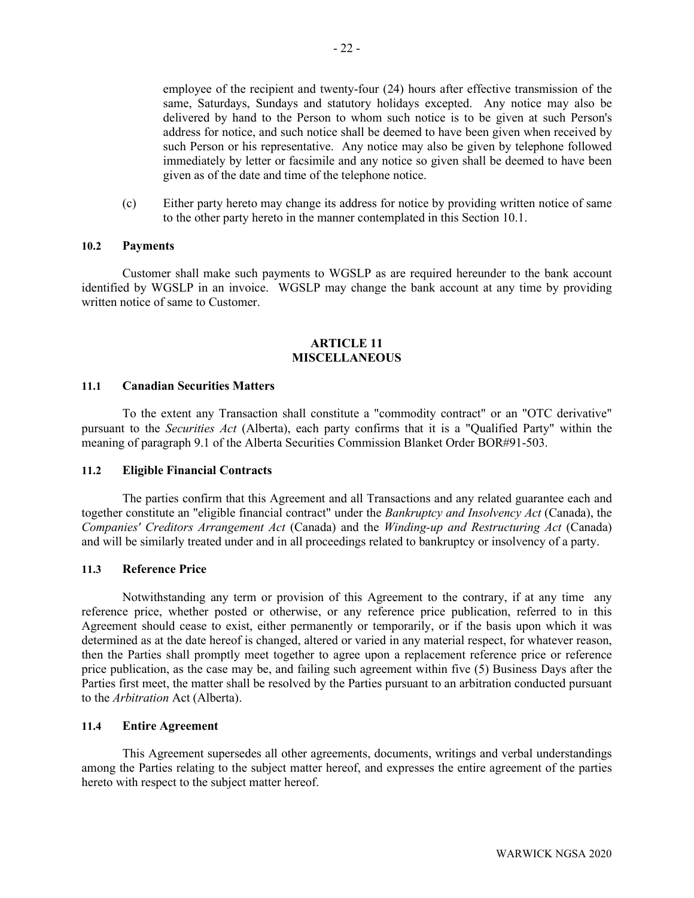employee of the recipient and twenty-four (24) hours after effective transmission of the same, Saturdays, Sundays and statutory holidays excepted. Any notice may also be delivered by hand to the Person to whom such notice is to be given at such Person's address for notice, and such notice shall be deemed to have been given when received by such Person or his representative. Any notice may also be given by telephone followed immediately by letter or facsimile and any notice so given shall be deemed to have been given as of the date and time of the telephone notice.

(c) Either party hereto may change its address for notice by providing written notice of same to the other party hereto in the manner contemplated in this Section [10.1.](#page-23-0)

### **10.2 Payments**

Customer shall make such payments to WGSLP as are required hereunder to the bank account identified by WGSLP in an invoice. WGSLP may change the bank account at any time by providing written notice of same to Customer.

### **ARTICLE 11 MISCELLANEOUS**

#### **11.1 Canadian Securities Matters**

To the extent any Transaction shall constitute a "commodity contract" or an "OTC derivative" pursuant to the *Securities Act* (Alberta), each party confirms that it is a "Qualified Party" within the meaning of paragraph 9.1 of the Alberta Securities Commission Blanket Order BOR#91-503.

#### **11.2 Eligible Financial Contracts**

The parties confirm that this Agreement and all Transactions and any related guarantee each and together constitute an "eligible financial contract" under the *Bankruptcy and Insolvency Act* (Canada), the *Companies' Creditors Arrangement Act* (Canada) and the *Winding-up and Restructuring Act* (Canada) and will be similarly treated under and in all proceedings related to bankruptcy or insolvency of a party.

#### **11.3 Reference Price**

Notwithstanding any term or provision of this Agreement to the contrary, if at any time any reference price, whether posted or otherwise, or any reference price publication, referred to in this Agreement should cease to exist, either permanently or temporarily, or if the basis upon which it was determined as at the date hereof is changed, altered or varied in any material respect, for whatever reason, then the Parties shall promptly meet together to agree upon a replacement reference price or reference price publication, as the case may be, and failing such agreement within five (5) Business Days after the Parties first meet, the matter shall be resolved by the Parties pursuant to an arbitration conducted pursuant to the *Arbitration* Act (Alberta).

#### **11.4 Entire Agreement**

This Agreement supersedes all other agreements, documents, writings and verbal understandings among the Parties relating to the subject matter hereof, and expresses the entire agreement of the parties hereto with respect to the subject matter hereof.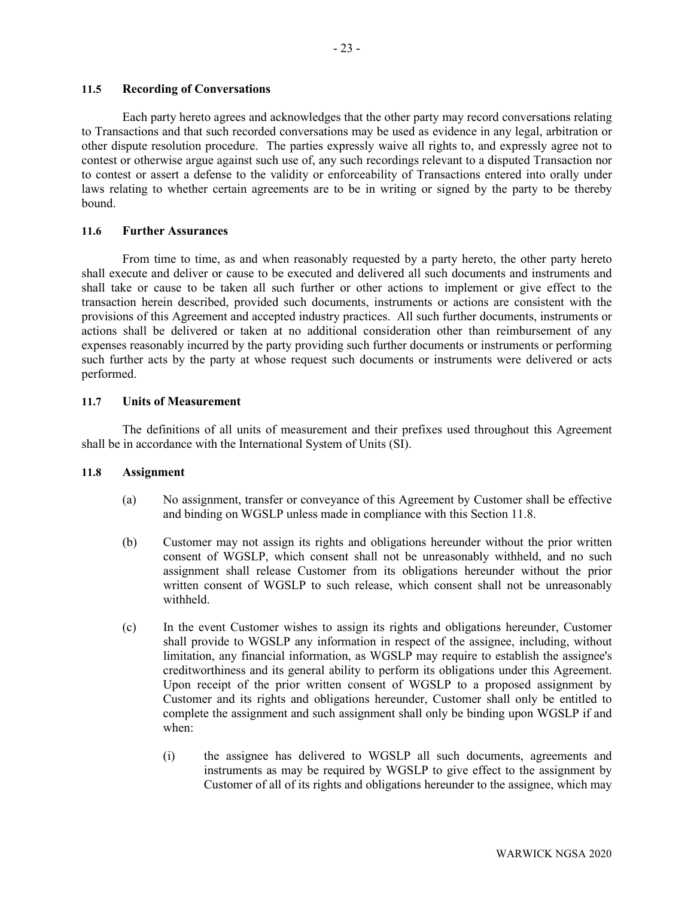## **11.5 Recording of Conversations**

Each party hereto agrees and acknowledges that the other party may record conversations relating to Transactions and that such recorded conversations may be used as evidence in any legal, arbitration or other dispute resolution procedure. The parties expressly waive all rights to, and expressly agree not to contest or otherwise argue against such use of, any such recordings relevant to a disputed Transaction nor to contest or assert a defense to the validity or enforceability of Transactions entered into orally under laws relating to whether certain agreements are to be in writing or signed by the party to be thereby bound.

# **11.6 Further Assurances**

From time to time, as and when reasonably requested by a party hereto, the other party hereto shall execute and deliver or cause to be executed and delivered all such documents and instruments and shall take or cause to be taken all such further or other actions to implement or give effect to the transaction herein described, provided such documents, instruments or actions are consistent with the provisions of this Agreement and accepted industry practices. All such further documents, instruments or actions shall be delivered or taken at no additional consideration other than reimbursement of any expenses reasonably incurred by the party providing such further documents or instruments or performing such further acts by the party at whose request such documents or instruments were delivered or acts performed.

# **11.7 Units of Measurement**

The definitions of all units of measurement and their prefixes used throughout this Agreement shall be in accordance with the International System of Units (SI).

### <span id="page-25-0"></span>**11.8 Assignment**

- (a) No assignment, transfer or conveyance of this Agreement by Customer shall be effective and binding on WGSLP unless made in compliance with this Section 11.8.
- (b) Customer may not assign its rights and obligations hereunder without the prior written consent of WGSLP, which consent shall not be unreasonably withheld, and no such assignment shall release Customer from its obligations hereunder without the prior written consent of WGSLP to such release, which consent shall not be unreasonably withheld.
- (c) In the event Customer wishes to assign its rights and obligations hereunder, Customer shall provide to WGSLP any information in respect of the assignee, including, without limitation, any financial information, as WGSLP may require to establish the assignee's creditworthiness and its general ability to perform its obligations under this Agreement. Upon receipt of the prior written consent of WGSLP to a proposed assignment by Customer and its rights and obligations hereunder, Customer shall only be entitled to complete the assignment and such assignment shall only be binding upon WGSLP if and when:
	- (i) the assignee has delivered to WGSLP all such documents, agreements and instruments as may be required by WGSLP to give effect to the assignment by Customer of all of its rights and obligations hereunder to the assignee, which may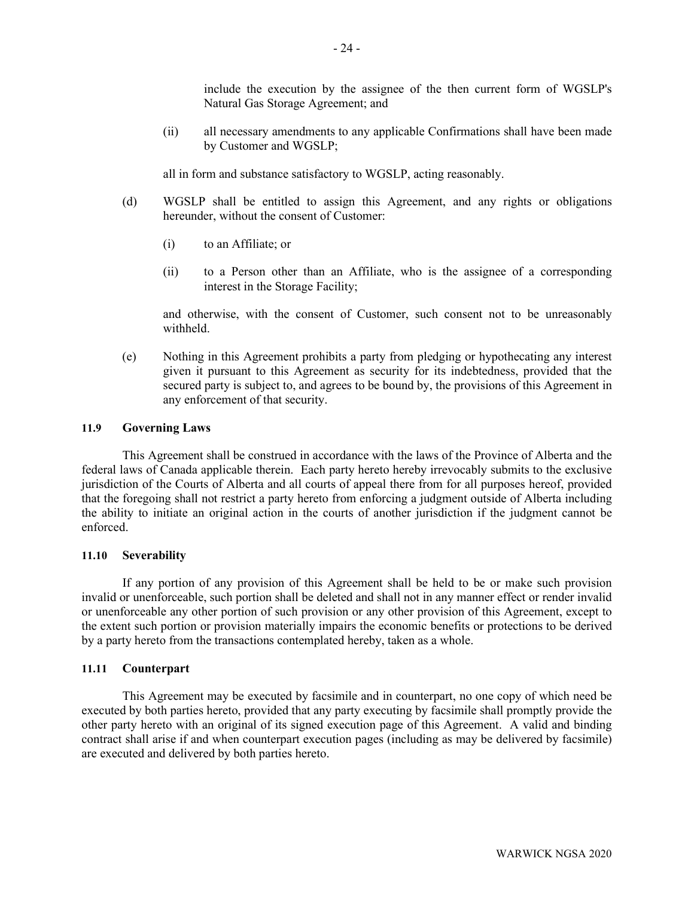include the execution by the assignee of the then current form of WGSLP's Natural Gas Storage Agreement; and

(ii) all necessary amendments to any applicable Confirmations shall have been made by Customer and WGSLP;

all in form and substance satisfactory to WGSLP, acting reasonably.

- (d) WGSLP shall be entitled to assign this Agreement, and any rights or obligations hereunder, without the consent of Customer:
	- (i) to an Affiliate; or
	- (ii) to a Person other than an Affiliate, who is the assignee of a corresponding interest in the Storage Facility;

and otherwise, with the consent of Customer, such consent not to be unreasonably withheld.

(e) Nothing in this Agreement prohibits a party from pledging or hypothecating any interest given it pursuant to this Agreement as security for its indebtedness, provided that the secured party is subject to, and agrees to be bound by, the provisions of this Agreement in any enforcement of that security.

#### **11.9 Governing Laws**

This Agreement shall be construed in accordance with the laws of the Province of Alberta and the federal laws of Canada applicable therein. Each party hereto hereby irrevocably submits to the exclusive jurisdiction of the Courts of Alberta and all courts of appeal there from for all purposes hereof, provided that the foregoing shall not restrict a party hereto from enforcing a judgment outside of Alberta including the ability to initiate an original action in the courts of another jurisdiction if the judgment cannot be enforced.

#### **11.10 Severability**

If any portion of any provision of this Agreement shall be held to be or make such provision invalid or unenforceable, such portion shall be deleted and shall not in any manner effect or render invalid or unenforceable any other portion of such provision or any other provision of this Agreement, except to the extent such portion or provision materially impairs the economic benefits or protections to be derived by a party hereto from the transactions contemplated hereby, taken as a whole.

#### **11.11 Counterpart**

This Agreement may be executed by facsimile and in counterpart, no one copy of which need be executed by both parties hereto, provided that any party executing by facsimile shall promptly provide the other party hereto with an original of its signed execution page of this Agreement. A valid and binding contract shall arise if and when counterpart execution pages (including as may be delivered by facsimile) are executed and delivered by both parties hereto.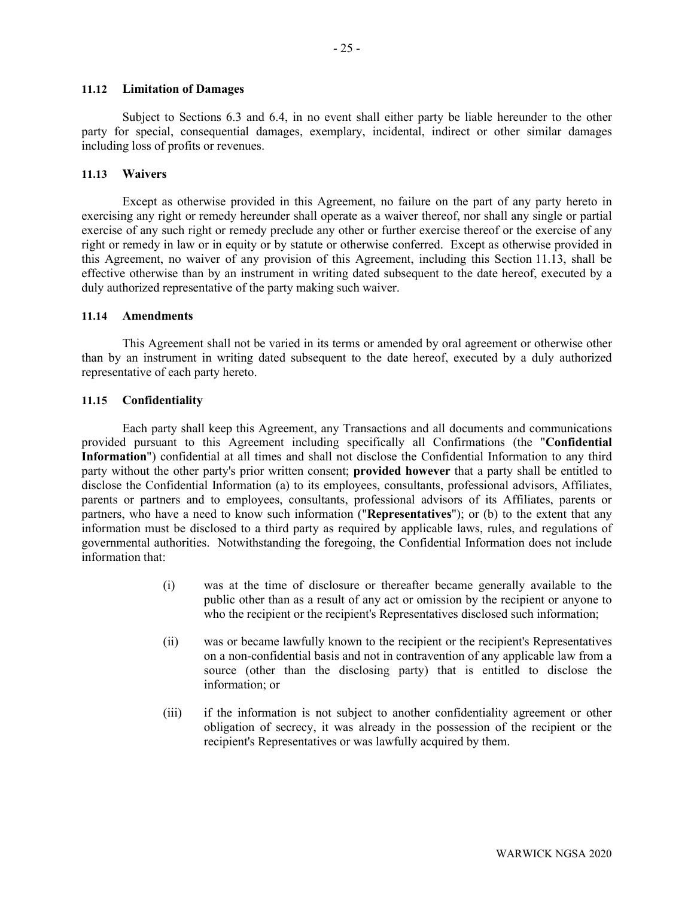#### **11.12 Limitation of Damages**

Subject to Sections [6.3](#page-14-0) and [6.4,](#page-15-0) in no event shall either party be liable hereunder to the other party for special, consequential damages, exemplary, incidental, indirect or other similar damages including loss of profits or revenues.

#### <span id="page-27-1"></span>**11.13 Waivers**

Except as otherwise provided in this Agreement, no failure on the part of any party hereto in exercising any right or remedy hereunder shall operate as a waiver thereof, nor shall any single or partial exercise of any such right or remedy preclude any other or further exercise thereof or the exercise of any right or remedy in law or in equity or by statute or otherwise conferred. Except as otherwise provided in this Agreement, no waiver of any provision of this Agreement, including this Section [11.13,](#page-27-1) shall be effective otherwise than by an instrument in writing dated subsequent to the date hereof, executed by a duly authorized representative of the party making such waiver.

#### **11.14 Amendments**

This Agreement shall not be varied in its terms or amended by oral agreement or otherwise other than by an instrument in writing dated subsequent to the date hereof, executed by a duly authorized representative of each party hereto.

### <span id="page-27-0"></span>**11.15 Confidentiality**

Each party shall keep this Agreement, any Transactions and all documents and communications provided pursuant to this Agreement including specifically all Confirmations (the "**Confidential Information**") confidential at all times and shall not disclose the Confidential Information to any third party without the other party's prior written consent; **provided however** that a party shall be entitled to disclose the Confidential Information (a) to its employees, consultants, professional advisors, Affiliates, parents or partners and to employees, consultants, professional advisors of its Affiliates, parents or partners, who have a need to know such information ("**Representatives**"); or (b) to the extent that any information must be disclosed to a third party as required by applicable laws, rules, and regulations of governmental authorities. Notwithstanding the foregoing, the Confidential Information does not include information that:

- (i) was at the time of disclosure or thereafter became generally available to the public other than as a result of any act or omission by the recipient or anyone to who the recipient or the recipient's Representatives disclosed such information;
- (ii) was or became lawfully known to the recipient or the recipient's Representatives on a non-confidential basis and not in contravention of any applicable law from a source (other than the disclosing party) that is entitled to disclose the information; or
- (iii) if the information is not subject to another confidentiality agreement or other obligation of secrecy, it was already in the possession of the recipient or the recipient's Representatives or was lawfully acquired by them.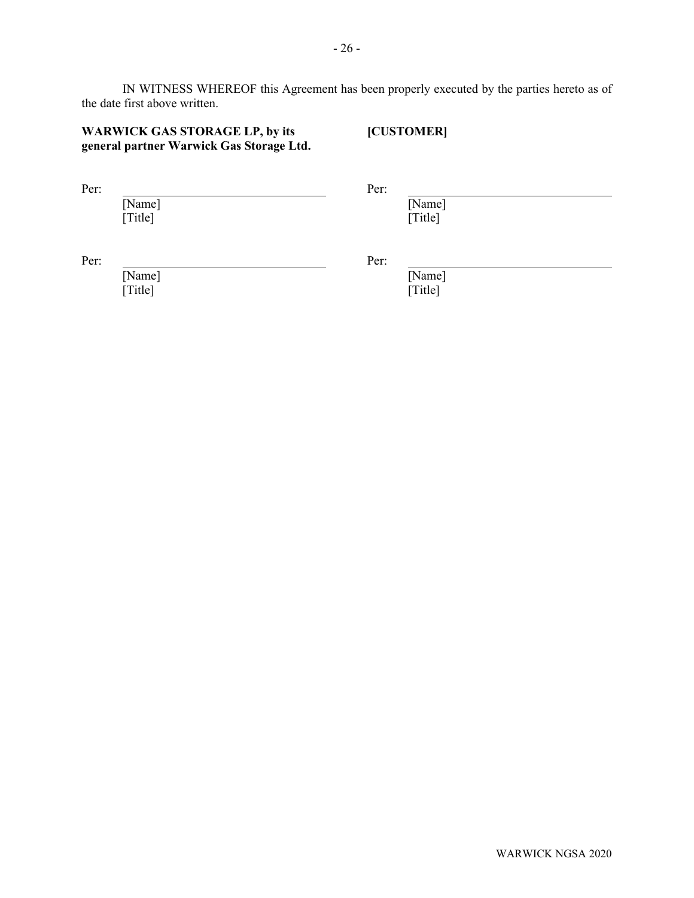IN WITNESS WHEREOF this Agreement has been properly executed by the parties hereto as of the date first above written.

# **WARWICK GAS STORAGE LP, by its general partner Warwick Gas Storage Ltd.**

**[CUSTOMER]**

Per: Per:

[Name] [Title]

[Name] [Title]

Per: Per:

[Name] [Title]

[Name] [Title]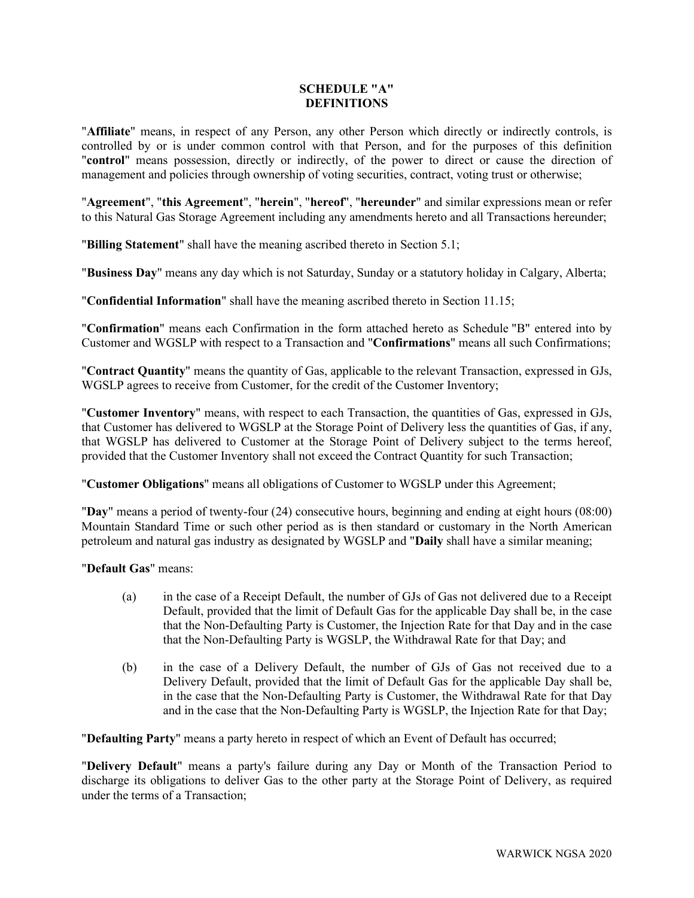# <span id="page-29-0"></span>**SCHEDULE "A" DEFINITIONS**

"**Affiliate**" means, in respect of any Person, any other Person which directly or indirectly controls, is controlled by or is under common control with that Person, and for the purposes of this definition "**control**" means possession, directly or indirectly, of the power to direct or cause the direction of management and policies through ownership of voting securities, contract, voting trust or otherwise;

"**Agreement**", "**this Agreement**", "**herein**", "**hereof**", "**hereunder**" and similar expressions mean or refer to this Natural Gas Storage Agreement including any amendments hereto and all Transactions hereunder;

"**Billing Statement**" shall have the meaning ascribed thereto in Section [5.1;](#page-11-1)

"**Business Day**" means any day which is not Saturday, Sunday or a statutory holiday in Calgary, Alberta;

"**Confidential Information**" shall have the meaning ascribed thereto in Section [11.15;](#page-27-0)

"**Confirmation**" means each Confirmation in the form attached hereto as Schedule "B" entered into by Customer and WGSLP with respect to a Transaction and "**Confirmations**" means all such Confirmations;

"**Contract Quantity**" means the quantity of Gas, applicable to the relevant Transaction, expressed in GJs, WGSLP agrees to receive from Customer, for the credit of the Customer Inventory;

"**Customer Inventory**" means, with respect to each Transaction, the quantities of Gas, expressed in GJs, that Customer has delivered to WGSLP at the Storage Point of Delivery less the quantities of Gas, if any, that WGSLP has delivered to Customer at the Storage Point of Delivery subject to the terms hereof, provided that the Customer Inventory shall not exceed the Contract Quantity for such Transaction;

"**Customer Obligations**" means all obligations of Customer to WGSLP under this Agreement;

"**Day**" means a period of twenty-four (24) consecutive hours, beginning and ending at eight hours (08:00) Mountain Standard Time or such other period as is then standard or customary in the North American petroleum and natural gas industry as designated by WGSLP and "**Daily** shall have a similar meaning;

"**Default Gas**" means:

- (a) in the case of a Receipt Default, the number of GJs of Gas not delivered due to a Receipt Default, provided that the limit of Default Gas for the applicable Day shall be, in the case that the Non-Defaulting Party is Customer, the Injection Rate for that Day and in the case that the Non-Defaulting Party is WGSLP, the Withdrawal Rate for that Day; and
- (b) in the case of a Delivery Default, the number of GJs of Gas not received due to a Delivery Default, provided that the limit of Default Gas for the applicable Day shall be, in the case that the Non-Defaulting Party is Customer, the Withdrawal Rate for that Day and in the case that the Non-Defaulting Party is WGSLP, the Injection Rate for that Day;

"**Defaulting Party**" means a party hereto in respect of which an Event of Default has occurred;

"**Delivery Default**" means a party's failure during any Day or Month of the Transaction Period to discharge its obligations to deliver Gas to the other party at the Storage Point of Delivery, as required under the terms of a Transaction;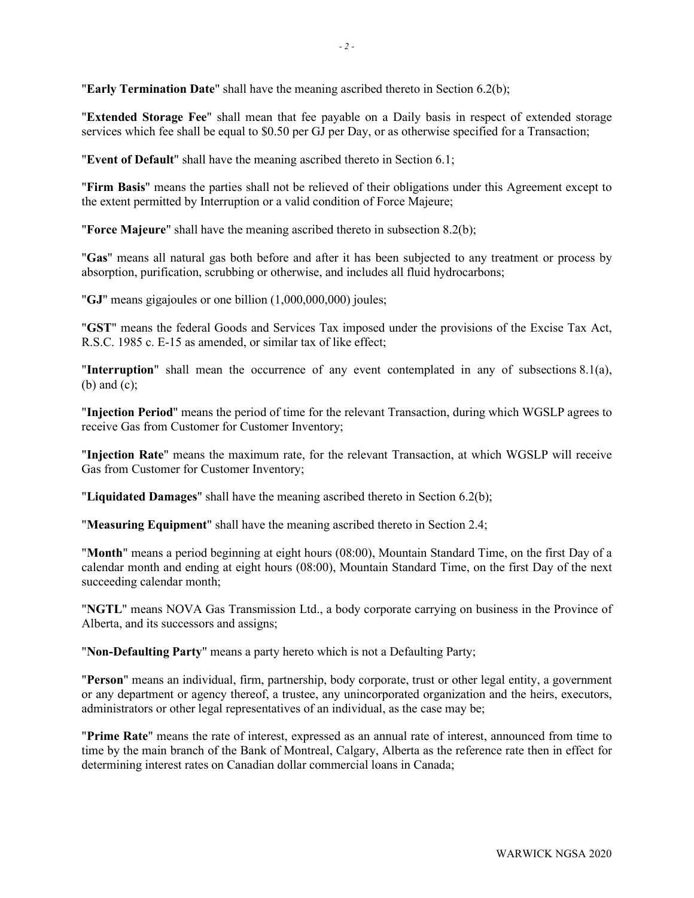"**Early Termination Date**" shall have the meaning ascribed thereto in Section [6.2\(b\);](#page-13-0)

"**Extended Storage Fee**" shall mean that fee payable on a Daily basis in respect of extended storage services which fee shall be equal to \$0.50 per GJ per Day, or as otherwise specified for a Transaction;

"**Event of Default**" shall have the meaning ascribed thereto in Section [6.1;](#page-12-2)

"**Firm Basis**" means the parties shall not be relieved of their obligations under this Agreement except to the extent permitted by Interruption or a valid condition of Force Majeure;

"**Force Majeure**" shall have the meaning ascribed thereto in subsection [8.2\(b\);](#page-19-0)

"**Gas**" means all natural gas both before and after it has been subjected to any treatment or process by absorption, purification, scrubbing or otherwise, and includes all fluid hydrocarbons;

"**GJ**" means gigajoules or one billion (1,000,000,000) joules;

"**GST**" means the federal Goods and Services Tax imposed under the provisions of the Excise Tax Act, R.S.C. 1985 c. E-15 as amended, or similar tax of like effect;

"**Interruption**" shall mean the occurrence of any event contemplated in any of subsections [8.1\(a\),](#page-18-3) [\(b\)](#page-18-4) and [\(c\);](#page-18-5)

"**Injection Period**" means the period of time for the relevant Transaction, during which WGSLP agrees to receive Gas from Customer for Customer Inventory;

"**Injection Rate**" means the maximum rate, for the relevant Transaction, at which WGSLP will receive Gas from Customer for Customer Inventory;

"**Liquidated Damages**" shall have the meaning ascribed thereto in Section [6.2\(b\);](#page-13-0)

"**Measuring Equipment**" shall have the meaning ascribed thereto in Section [2.4;](#page-7-2)

"**Month**" means a period beginning at eight hours (08:00), Mountain Standard Time, on the first Day of a calendar month and ending at eight hours (08:00), Mountain Standard Time, on the first Day of the next succeeding calendar month;

"**NGTL**" means NOVA Gas Transmission Ltd., a body corporate carrying on business in the Province of Alberta, and its successors and assigns;

"**Non-Defaulting Party**" means a party hereto which is not a Defaulting Party;

"**Person**" means an individual, firm, partnership, body corporate, trust or other legal entity, a government or any department or agency thereof, a trustee, any unincorporated organization and the heirs, executors, administrators or other legal representatives of an individual, as the case may be;

"**Prime Rate**" means the rate of interest, expressed as an annual rate of interest, announced from time to time by the main branch of the Bank of Montreal, Calgary, Alberta as the reference rate then in effect for determining interest rates on Canadian dollar commercial loans in Canada;